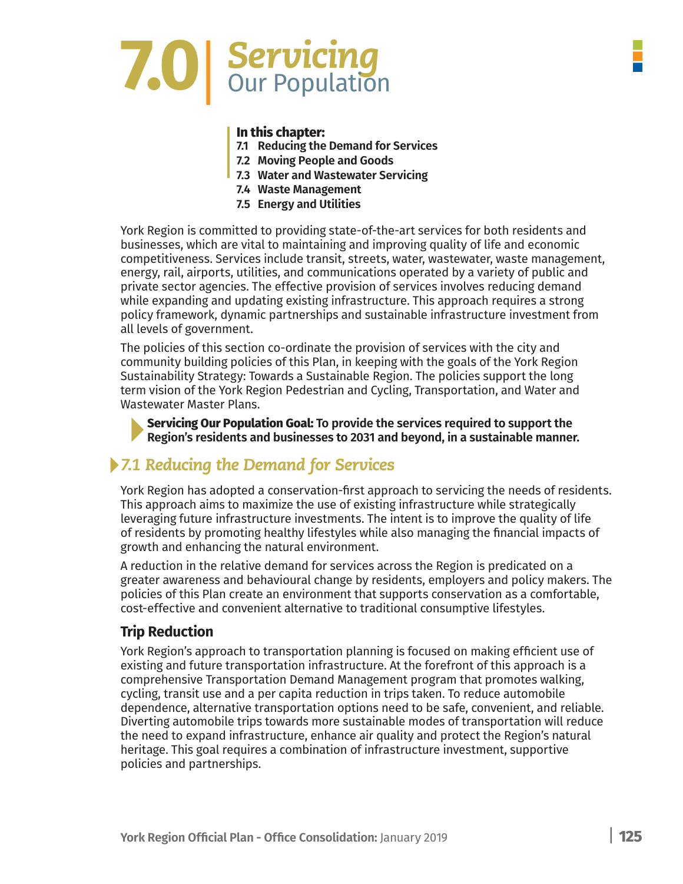# **7.0**|*Servicing* Our Population

#### **In this chapter:**

- **7.1 Reducing the Demand for Services**
- **7.2 Moving People and Goods**
- **7.3 Water and Wastewater Servicing**
- **7.4 Waste Management**
- **7.5 Energy and Utilities**

York Region is committed to providing state-of-the-art services for both residents and businesses, which are vital to maintaining and improving quality of life and economic competitiveness. Services include transit, streets, water, wastewater, waste management, energy, rail, airports, utilities, and communications operated by a variety of public and private sector agencies. The effective provision of services involves reducing demand while expanding and updating existing infrastructure. This approach requires a strong policy framework, dynamic partnerships and sustainable infrastructure investment from all levels of government.

The policies of this section co-ordinate the provision of services with the city and community building policies of this Plan, in keeping with the goals of the York Region Sustainability Strategy: Towards a Sustainable Region. The policies support the long term vision of the York Region Pedestrian and Cycling, Transportation, and Water and Wastewater Master Plans.

**Servicing Our Population Goal: To provide the services required to support the Region's residents and businesses to 2031 and beyond, in a sustainable manner.**

### *7.1 Reducing the Demand for Services*

York Region has adopted a conservation-first approach to servicing the needs of residents. This approach aims to maximize the use of existing infrastructure while strategically leveraging future infrastructure investments. The intent is to improve the quality of life of residents by promoting healthy lifestyles while also managing the financial impacts of growth and enhancing the natural environment.

A reduction in the relative demand for services across the Region is predicated on a greater awareness and behavioural change by residents, employers and policy makers. The policies of this Plan create an environment that supports conservation as a comfortable, cost-effective and convenient alternative to traditional consumptive lifestyles.

#### **Trip Reduction**

York Region's approach to transportation planning is focused on making efficient use of existing and future transportation infrastructure. At the forefront of this approach is a comprehensive Transportation Demand Management program that promotes walking, cycling, transit use and a per capita reduction in trips taken. To reduce automobile dependence, alternative transportation options need to be safe, convenient, and reliable. Diverting automobile trips towards more sustainable modes of transportation will reduce the need to expand infrastructure, enhance air quality and protect the Region's natural heritage. This goal requires a combination of infrastructure investment, supportive policies and partnerships.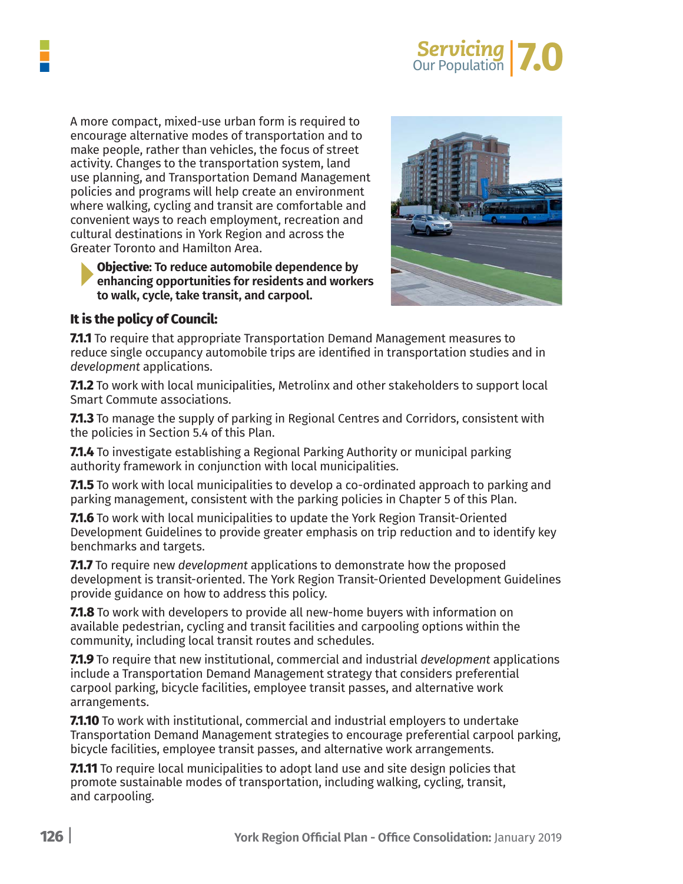

A more compact, mixed-use urban form is required to encourage alternative modes of transportation and to make people, rather than vehicles, the focus of street activity. Changes to the transportation system, land use planning, and Transportation Demand Management policies and programs will help create an environment where walking, cycling and transit are comfortable and convenient ways to reach employment, recreation and cultural destinations in York Region and across the Greater Toronto and Hamilton Area.

**Objective: To reduce automobile dependence by enhancing opportunities for residents and workers to walk, cycle, take transit, and carpool.**



#### **It is the policy of Council:**

**7.1.1** To require that appropriate Transportation Demand Management measures to reduce single occupancy automobile trips are identified in transportation studies and in *development* applications.

**7.1.2** To work with local municipalities, Metrolinx and other stakeholders to support local Smart Commute associations.

**7.1.3** To manage the supply of parking in Regional Centres and Corridors, consistent with the policies in Section 5.4 of this Plan.

**7.1.4** To investigate establishing a Regional Parking Authority or municipal parking authority framework in conjunction with local municipalities.

**7.1.5** To work with local municipalities to develop a co-ordinated approach to parking and parking management, consistent with the parking policies in Chapter 5 of this Plan.

**7.1.6** To work with local municipalities to update the York Region Transit-Oriented Development Guidelines to provide greater emphasis on trip reduction and to identify key benchmarks and targets.

**7.1.7** To require new *development* applications to demonstrate how the proposed development is transit-oriented. The York Region Transit-Oriented Development Guidelines provide guidance on how to address this policy.

**7.1.8** To work with developers to provide all new-home buyers with information on available pedestrian, cycling and transit facilities and carpooling options within the community, including local transit routes and schedules.

**7.1.9** To require that new institutional, commercial and industrial *development* applications include a Transportation Demand Management strategy that considers preferential carpool parking, bicycle facilities, employee transit passes, and alternative work arrangements.

**7.1.10** To work with institutional, commercial and industrial employers to undertake Transportation Demand Management strategies to encourage preferential carpool parking, bicycle facilities, employee transit passes, and alternative work arrangements.

**7.1.11** To require local municipalities to adopt land use and site design policies that promote sustainable modes of transportation, including walking, cycling, transit, and carpooling.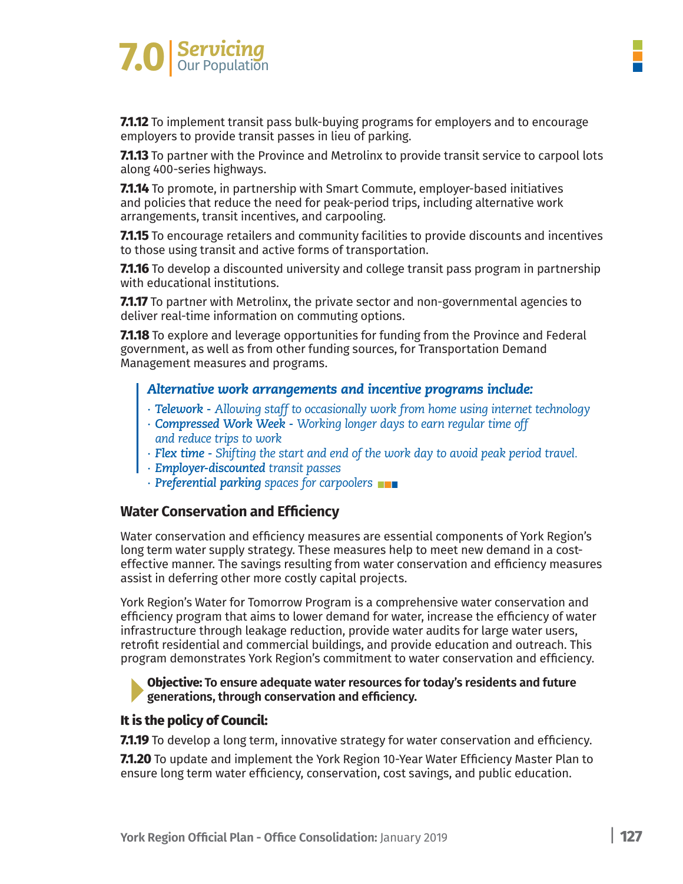

**7.1.12** To implement transit pass bulk-buying programs for employers and to encourage employers to provide transit passes in lieu of parking.

**7.1.13** To partner with the Province and Metrolinx to provide transit service to carpool lots along 400-series highways.

**7.1.14** To promote, in partnership with Smart Commute, employer-based initiatives and policies that reduce the need for peak-period trips, including alternative work arrangements, transit incentives, and carpooling.

**7.1.15** To encourage retailers and community facilities to provide discounts and incentives to those using transit and active forms of transportation.

**7.1.16** To develop a discounted university and college transit pass program in partnership with educational institutions.

**7.1.17** To partner with Metrolinx, the private sector and non-governmental agencies to deliver real-time information on commuting options.

**7.1.18** To explore and leverage opportunities for funding from the Province and Federal government, as well as from other funding sources, for Transportation Demand Management measures and programs.

#### *Alternative work arrangements and incentive programs include:*

- *∙ Telework Allowing staff to occasionally work from home using internet technology*
- *∙ Compressed Work Week Working longer days to earn regular time off and reduce trips to work*
- *∙ Flex time - Shifting the start and end of the work day to avoid peak period travel.*
- *∙ Employer-discounted transit passes*
- *∙ Preferential parking spaces for carpoolers*

#### **Water Conservation and Efficiency**

Water conservation and efficiency measures are essential components of York Region's long term water supply strategy. These measures help to meet new demand in a costeffective manner. The savings resulting from water conservation and efficiency measures assist in deferring other more costly capital projects.

York Region's Water for Tomorrow Program is a comprehensive water conservation and efficiency program that aims to lower demand for water, increase the efficiency of water infrastructure through leakage reduction, provide water audits for large water users, retrofit residential and commercial buildings, and provide education and outreach. This program demonstrates York Region's commitment to water conservation and efficiency.

**Objective: To ensure adequate water resources for today's residents and future generations, through conservation and efficiency.**

#### **It is the policy of Council:**

**7.1.19** To develop a long term, innovative strategy for water conservation and efficiency.

**7.1.20** To update and implement the York Region 10-Year Water Efficiency Master Plan to ensure long term water efficiency, conservation, cost savings, and public education.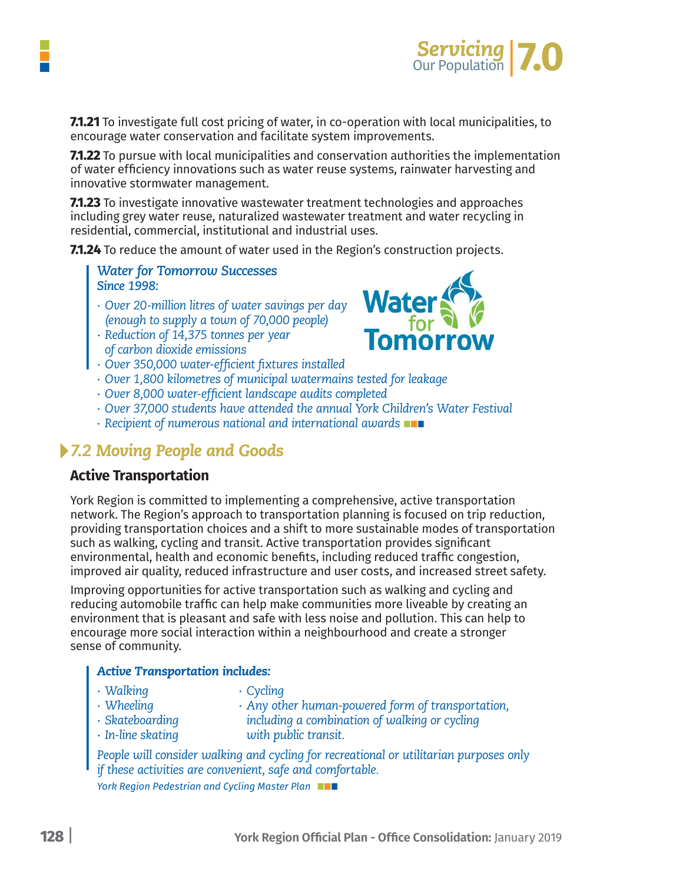

**7.1.21** To investigate full cost pricing of water, in co-operation with local municipalities, to encourage water conservation and facilitate system improvements.

**7.1.22** To pursue with local municipalities and conservation authorities the implementation of water efficiency innovations such as water reuse systems, rainwater harvesting and innovative stormwater management.

**7.1.23** To investigate innovative wastewater treatment technologies and approaches including grey water reuse, naturalized wastewater treatment and water recycling in residential, commercial, institutional and industrial uses.

**7.1.24** To reduce the amount of water used in the Region's construction projects.

*Water for Tomorrow Successes Since 1998:*

- *∙ Over 20-million litres of water savings per day (enough to supply a town of 70,000 people)*
- *∙ Reduction of 14,375 tonnes per year of carbon dioxide emissions*
- *∙ Over 350,000 water-efficient fixtures installed*
- *∙ Over 1,800 kilometres of municipal watermains tested for leakage*
- *∙ Over 8,000 water-efficient landscape audits completed*
- *∙ Over 37,000 students have attended the annual York Children's Water Festival*
- *∙ Recipient of numerous national and international awards*

### *7.2 Moving People and Goods*

#### **Active Transportation**

York Region is committed to implementing a comprehensive, active transportation network. The Region's approach to transportation planning is focused on trip reduction, providing transportation choices and a shift to more sustainable modes of transportation such as walking, cycling and transit. Active transportation provides significant environmental, health and economic benefits, including reduced traffic congestion, improved air quality, reduced infrastructure and user costs, and increased street safety.

Improving opportunities for active transportation such as walking and cycling and reducing automobile traffic can help make communities more liveable by creating an environment that is pleasant and safe with less noise and pollution. This can help to encourage more social interaction within a neighbourhood and create a stronger sense of community.

#### *Active Transportation includes:*

| · Walking               | • Cycling                                         |
|-------------------------|---------------------------------------------------|
| $\cdot$ Wheeling        | · Any other human-powered form of transportation, |
| $\cdot$ Skateboarding   | including a combination of walking or cycling     |
| $\cdot$ In-line skating | with public transit.                              |

*People will consider walking and cycling for recreational or utilitarian purposes only if these activities are convenient, safe and comfortable.*

*York Region Pedestrian and Cycling Master Plan*

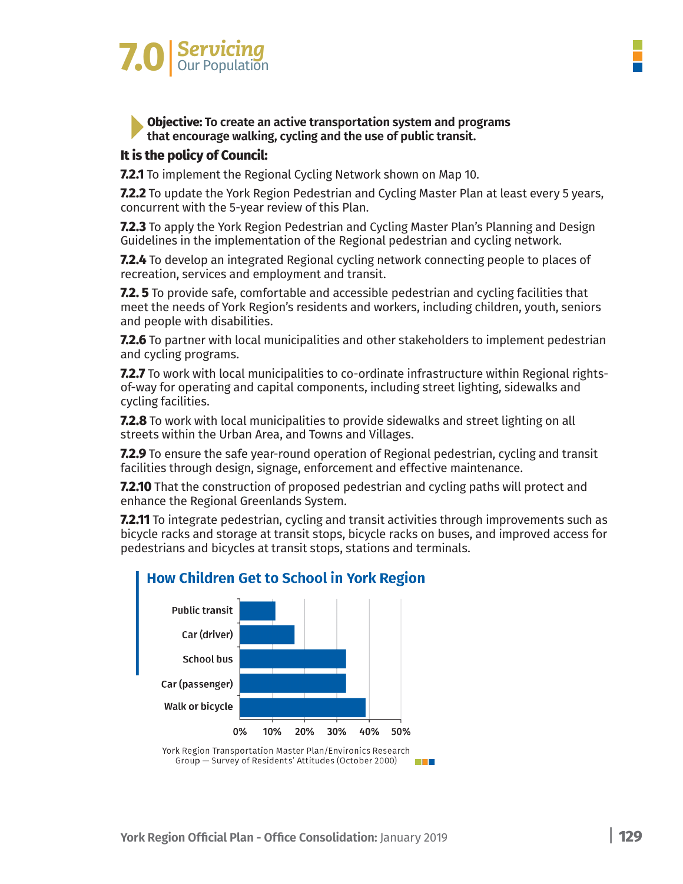# *Servicing* **7.0**|Our Population

#### **Objective: To create an active transportation system and programs that encourage walking, cycling and the use of public transit.**

#### **It is the policy of Council:**

**7.2.1** To implement the Regional Cycling Network shown on Map 10.

**7.2.2** To update the York Region Pedestrian and Cycling Master Plan at least every 5 years, concurrent with the 5-year review of this Plan.

**7.2.3** To apply the York Region Pedestrian and Cycling Master Plan's Planning and Design Guidelines in the implementation of the Regional pedestrian and cycling network.

**7.2.4** To develop an integrated Regional cycling network connecting people to places of recreation, services and employment and transit.

**7.2. 5** To provide safe, comfortable and accessible pedestrian and cycling facilities that meet the needs of York Region's residents and workers, including children, youth, seniors and people with disabilities.

**7.2.6** To partner with local municipalities and other stakeholders to implement pedestrian and cycling programs.

**7.2.7** To work with local municipalities to co-ordinate infrastructure within Regional rightsof-way for operating and capital components, including street lighting, sidewalks and cycling facilities.

**7.2.8** To work with local municipalities to provide sidewalks and street lighting on all streets within the Urban Area, and Towns and Villages.

**7.2.9** To ensure the safe year-round operation of Regional pedestrian, cycling and transit facilities through design, signage, enforcement and effective maintenance.

**7.2.10** That the construction of proposed pedestrian and cycling paths will protect and enhance the Regional Greenlands System.

**7.2.11** To integrate pedestrian, cycling and transit activities through improvements such as bicycle racks and storage at transit stops, bicycle racks on buses, and improved access for pedestrians and bicycles at transit stops, stations and terminals.



### **How Children Get to School in York Region**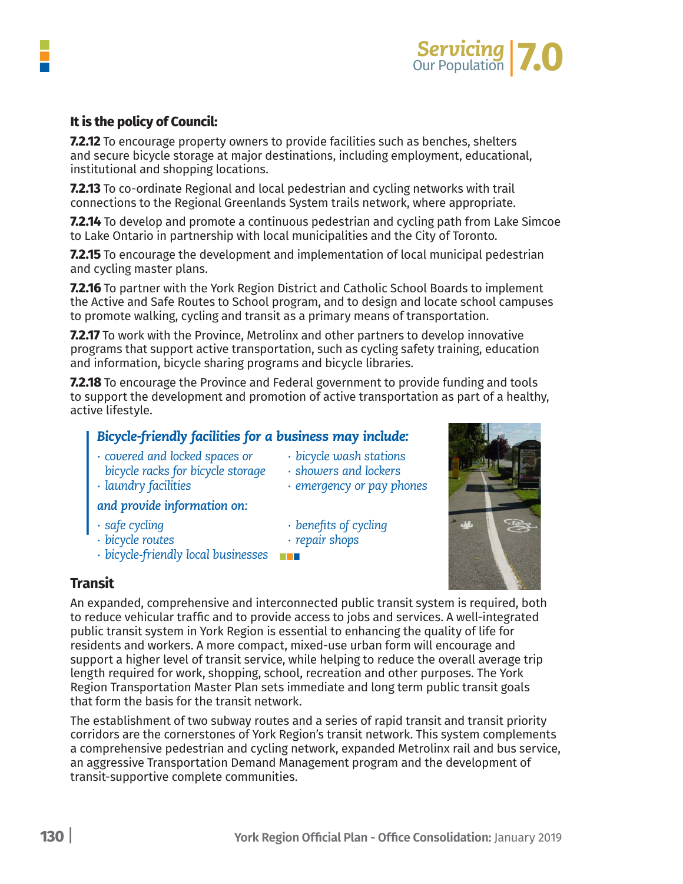

#### **It is the policy of Council:**

**7.2.12** To encourage property owners to provide facilities such as benches, shelters and secure bicycle storage at major destinations, including employment, educational, institutional and shopping locations.

**7.2.13** To co-ordinate Regional and local pedestrian and cycling networks with trail connections to the Regional Greenlands System trails network, where appropriate.

**7.2.14** To develop and promote a continuous pedestrian and cycling path from Lake Simcoe to Lake Ontario in partnership with local municipalities and the City of Toronto.

**7.2.15** To encourage the development and implementation of local municipal pedestrian and cycling master plans.

**7.2.16** To partner with the York Region District and Catholic School Boards to implement the Active and Safe Routes to School program, and to design and locate school campuses to promote walking, cycling and transit as a primary means of transportation.

**7.2.17** To work with the Province, Metrolinx and other partners to develop innovative programs that support active transportation, such as cycling safety training, education and information, bicycle sharing programs and bicycle libraries.

**7.2.18** To encourage the Province and Federal government to provide funding and tools to support the development and promotion of active transportation as part of a healthy, active lifestyle.

#### *Bicycle-friendly facilities for a business may include:*

- *∙ covered and locked spaces or ∙ bicycle wash stations bicycle racks for bicycle storage ∙ showers and lockers*
	-
- *∙ laundry facilities ∙ emergency or pay phones*

#### *and provide information on:*

- 
- *∙ safe cycling ∙ benefits of cycling*
- *∙ bicycle routes ∙ repair shops*
- *∙ bicycle-friendly local businesses*

#### **Transit**

An expanded, comprehensive and interconnected public transit system is required, both to reduce vehicular traffic and to provide access to jobs and services. A well-integrated public transit system in York Region is essential to enhancing the quality of life for residents and workers. A more compact, mixed-use urban form will encourage and support a higher level of transit service, while helping to reduce the overall average trip length required for work, shopping, school, recreation and other purposes. The York Region Transportation Master Plan sets immediate and long term public transit goals that form the basis for the transit network.

The establishment of two subway routes and a series of rapid transit and transit priority corridors are the cornerstones of York Region's transit network. This system complements a comprehensive pedestrian and cycling network, expanded Metrolinx rail and bus service, an aggressive Transportation Demand Management program and the development of transit-supportive complete communities.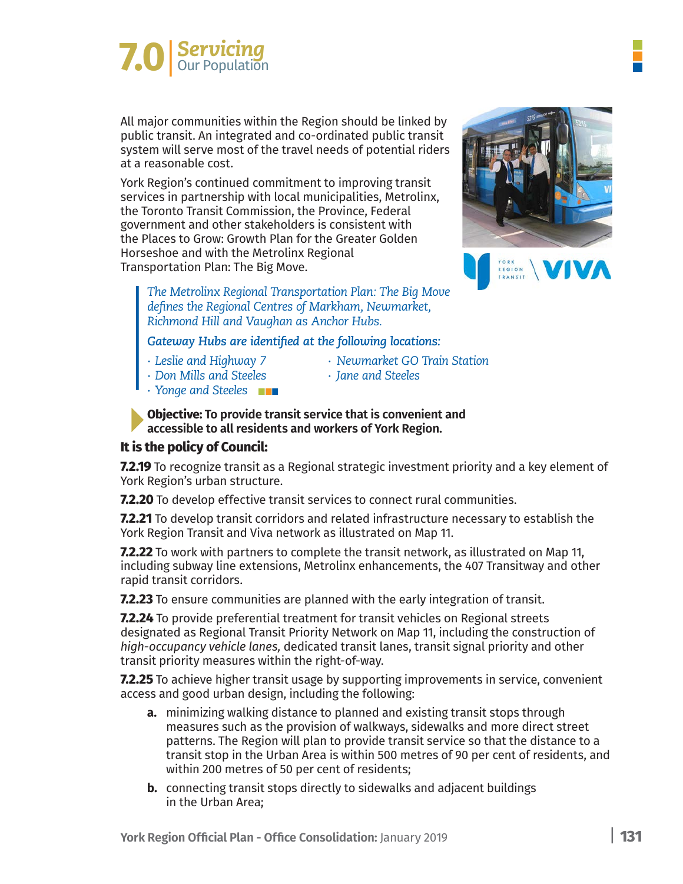# **7.0** Servicing

All major communities within the Region should be linked by public transit. An integrated and co-ordinated public transit system will serve most of the travel needs of potential riders at a reasonable cost.

York Region's continued commitment to improving transit services in partnership with local municipalities, Metrolinx, the Toronto Transit Commission, the Province, Federal government and other stakeholders is consistent with the Places to Grow: Growth Plan for the Greater Golden Horseshoe and with the Metrolinx Regional Transportation Plan: The Big Move.



*The Metrolinx Regional Transportation Plan: The Big Move defines the Regional Centres of Markham, Newmarket, Richmond Hill and Vaughan as Anchor Hubs.*

*Gateway Hubs are identified at the following locations:*

- 
- *∙ Leslie and Highway 7 ∙ Newmarket GO Train Station*
- *∙ Don Mills and Steeles ∙ Jane and Steeles*
	-
- *∙ Yonge and Steeles*

**Objective: To provide transit service that is convenient and accessible to all residents and workers of York Region.**

#### **It is the policy of Council:**

**7.2.19** To recognize transit as a Regional strategic investment priority and a key element of York Region's urban structure.

**7.2.20** To develop effective transit services to connect rural communities.

**7.2.21** To develop transit corridors and related infrastructure necessary to establish the York Region Transit and Viva network as illustrated on Map 11.

**7.2.22** To work with partners to complete the transit network, as illustrated on Map 11, including subway line extensions, Metrolinx enhancements, the 407 Transitway and other rapid transit corridors.

**7.2.23** To ensure communities are planned with the early integration of transit.

**7.2.24** To provide preferential treatment for transit vehicles on Regional streets designated as Regional Transit Priority Network on Map 11, including the construction of *high-occupancy vehicle lanes,* dedicated transit lanes, transit signal priority and other transit priority measures within the right-of-way.

**7.2.25** To achieve higher transit usage by supporting improvements in service, convenient access and good urban design, including the following:

- **a.** minimizing walking distance to planned and existing transit stops through measures such as the provision of walkways, sidewalks and more direct street patterns. The Region will plan to provide transit service so that the distance to a transit stop in the Urban Area is within 500 metres of 90 per cent of residents, and within 200 metres of 50 per cent of residents;
- **b.** connecting transit stops directly to sidewalks and adjacent buildings in the Urban Area;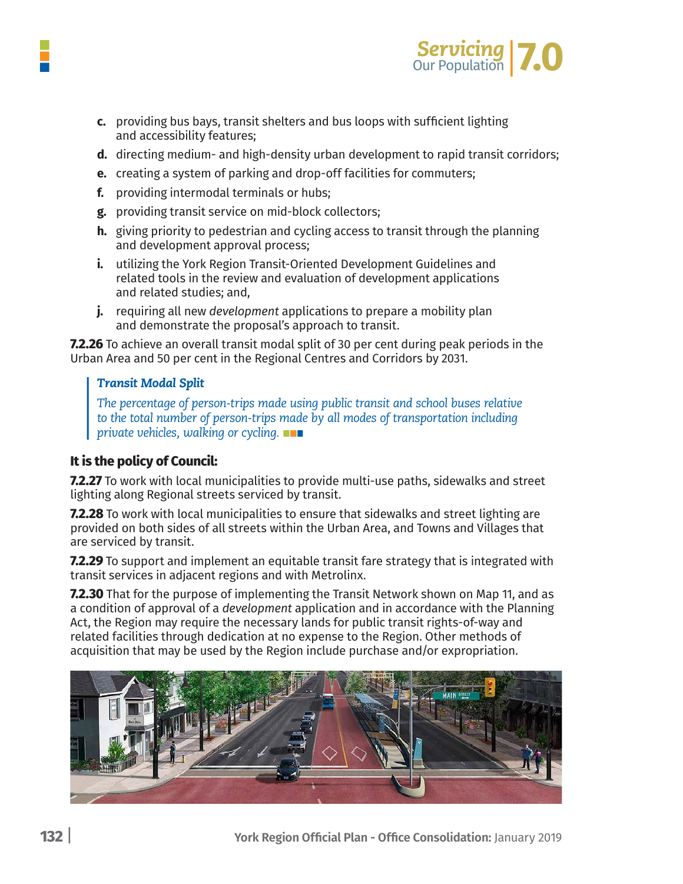

- **c.** providing bus bays, transit shelters and bus loops with sufficient lighting and accessibility features;
- **d.** directing medium- and high-density urban development to rapid transit corridors;
- **e.** creating a system of parking and drop-off facilities for commuters;
- f. providing intermodal terminals or hubs:
- g. providing transit service on mid-block collectors;
- **h.** giving priority to pedestrian and cycling access to transit through the planning and development approval process;
- i. utilizing the York Region Transit-Oriented Development Guidelines and related tools in the review and evaluation of development applications and related studies: and.
- j. requiring all new *development* applications to prepare a mobility plan and demonstrate the proposal's approach to transit.

**7.2.26** To achieve an overall transit modal split of 30 per cent during peak periods in the Urban Area and 50 per cent in the Regional Centres and Corridors by 2031.

#### *Transit Modal Split*

*The percentage of person-trips made using public transit and school buses relative to the total number of person-trips made by all modes of transportation including private vehicles, walking or cycling.*

#### **It is the policy of Council:**

**7.2.27** To work with local municipalities to provide multi-use paths, sidewalks and street lighting along Regional streets serviced by transit.

**7.2.28** To work with local municipalities to ensure that sidewalks and street lighting are provided on both sides of all streets within the Urban Area, and Towns and Villages that are serviced by transit.

**7.2.29** To support and implement an equitable transit fare strategy that is integrated with transit services in adjacent regions and with Metrolinx.

**7.2.30** That for the purpose of implementing the Transit Network shown on Map 11, and as a condition of approval of a *development* application and in accordance with the Planning Act, the Region may require the necessary lands for public transit rights-of-way and related facilities through dedication at no expense to the Region. Other methods of acquisition that may be used by the Region include purchase and/or expropriation.

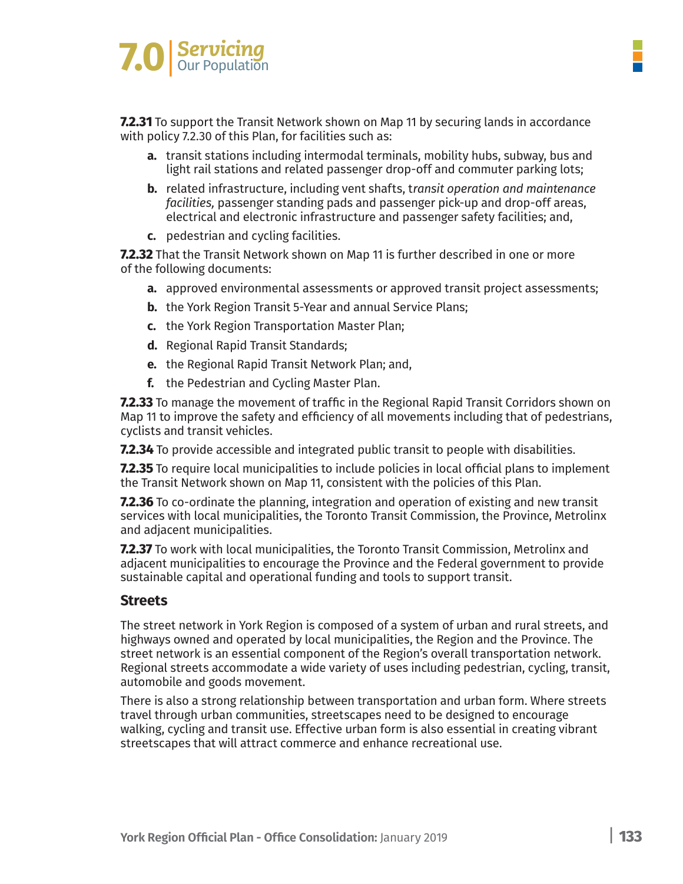

**7.2.31** To support the Transit Network shown on Map 11 by securing lands in accordance with policy 7.2.30 of this Plan, for facilities such as:

- **a.** transit stations including intermodal terminals, mobility hubs, subway, bus and light rail stations and related passenger drop-off and commuter parking lots;
- **b.** related infrastructure, including vent shafts, t*ransit operation and maintenance facilities,* passenger standing pads and passenger pick-up and drop-off areas, electrical and electronic infrastructure and passenger safety facilities; and,
- **c.** pedestrian and cycling facilities.

**7.2.32** That the Transit Network shown on Map 11 is further described in one or more of the following documents:

- **a.** approved environmental assessments or approved transit project assessments;
- **b.** the York Region Transit 5-Year and annual Service Plans;
- **c.** the York Region Transportation Master Plan;
- **d.** Regional Rapid Transit Standards;
- **e.** the Regional Rapid Transit Network Plan; and,
- **f.** the Pedestrian and Cycling Master Plan.

**7.2.33** To manage the movement of traffic in the Regional Rapid Transit Corridors shown on Map 11 to improve the safety and efficiency of all movements including that of pedestrians, cyclists and transit vehicles.

**7.2.34** To provide accessible and integrated public transit to people with disabilities.

**7.2.35** To require local municipalities to include policies in local official plans to implement the Transit Network shown on Map 11, consistent with the policies of this Plan.

**7.2.36** To co-ordinate the planning, integration and operation of existing and new transit services with local municipalities, the Toronto Transit Commission, the Province, Metrolinx and adjacent municipalities.

**7.2.37** To work with local municipalities, the Toronto Transit Commission, Metrolinx and adjacent municipalities to encourage the Province and the Federal government to provide sustainable capital and operational funding and tools to support transit.

#### **Streets**

The street network in York Region is composed of a system of urban and rural streets, and highways owned and operated by local municipalities, the Region and the Province. The street network is an essential component of the Region's overall transportation network. Regional streets accommodate a wide variety of uses including pedestrian, cycling, transit, automobile and goods movement.

There is also a strong relationship between transportation and urban form. Where streets travel through urban communities, streetscapes need to be designed to encourage walking, cycling and transit use. Effective urban form is also essential in creating vibrant streetscapes that will attract commerce and enhance recreational use.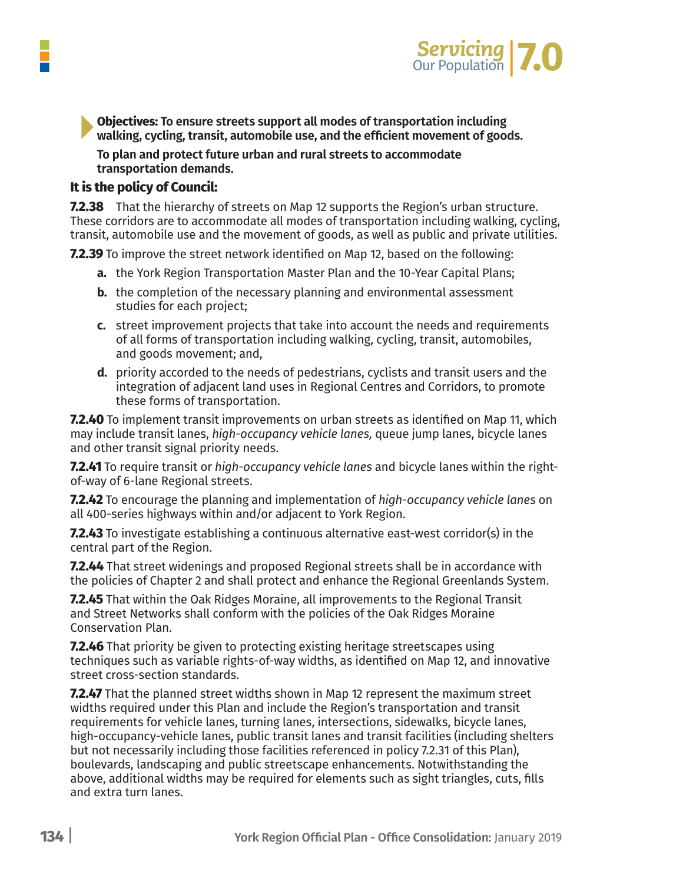

**Objectives: To ensure streets support all modes of transportation including walking, cycling, transit, automobile use, and the efficient movement of goods.**

**To plan and protect future urban and rural streets to accommodate transportation demands.**

#### **It is the policy of Council:**

**7.2.38** That the hierarchy of streets on Map 12 supports the Region's urban structure. These corridors are to accommodate all modes of transportation including walking, cycling, transit, automobile use and the movement of goods, as well as public and private utilities.

**7.2.39** To improve the street network identified on Map 12, based on the following:

- **a.** the York Region Transportation Master Plan and the 10-Year Capital Plans;
- **b.** the completion of the necessary planning and environmental assessment studies for each project;
- **c.** street improvement projects that take into account the needs and requirements of all forms of transportation including walking, cycling, transit, automobiles, and goods movement; and,
- **d.** priority accorded to the needs of pedestrians, cyclists and transit users and the integration of adjacent land uses in Regional Centres and Corridors, to promote these forms of transportation.

**7.2.40** To implement transit improvements on urban streets as identified on Map 11, which may include transit lanes, *high-occupancy vehicle lanes,* queue jump lanes, bicycle lanes and other transit signal priority needs.

**7.2.41** To require transit or *high-occupancy vehicle lanes* and bicycle lanes within the rightof-way of 6-lane Regional streets.

**7.2.42** To encourage the planning and implementation of *high-occupancy vehicle lanes* on all 400-series highways within and/or adjacent to York Region.

**7.2.43** To investigate establishing a continuous alternative east-west corridor(s) in the central part of the Region.

**7.2.44** That street widenings and proposed Regional streets shall be in accordance with the policies of Chapter 2 and shall protect and enhance the Regional Greenlands System.

**7.2.45** That within the Oak Ridges Moraine, all improvements to the Regional Transit and Street Networks shall conform with the policies of the Oak Ridges Moraine Conservation Plan.

**7.2.46** That priority be given to protecting existing heritage streetscapes using techniques such as variable rights-of-way widths, as identified on Map 12, and innovative street cross-section standards.

**7.2.47** That the planned street widths shown in Map 12 represent the maximum street widths required under this Plan and include the Region's transportation and transit requirements for vehicle lanes, turning lanes, intersections, sidewalks, bicycle lanes, high-occupancy-vehicle lanes, public transit lanes and transit facilities (including shelters but not necessarily including those facilities referenced in policy 7.2.31 of this Plan), boulevards, landscaping and public streetscape enhancements. Notwithstanding the above, additional widths may be required for elements such as sight triangles, cuts, fills and extra turn lanes.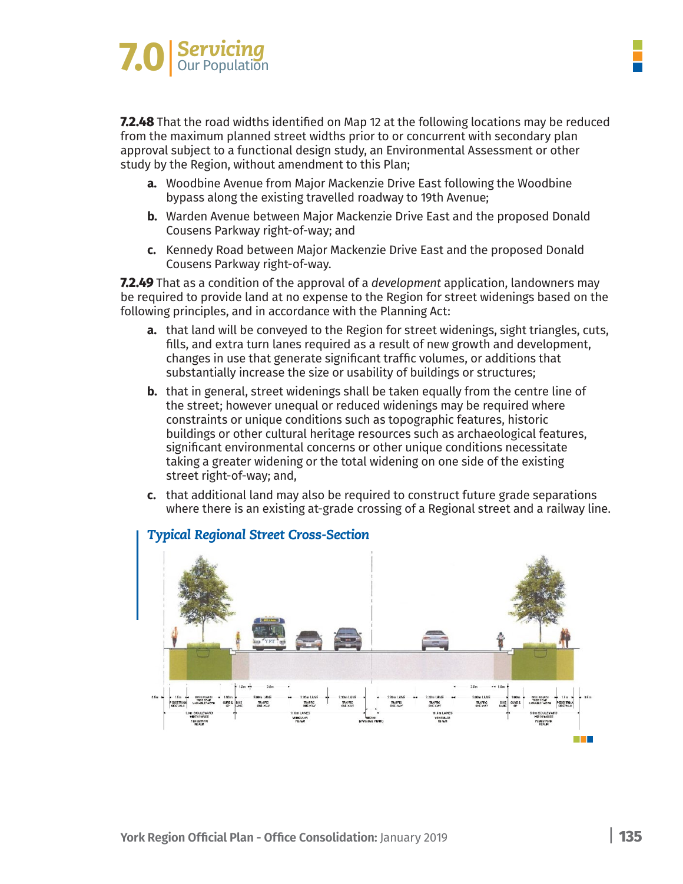# **Servicing**<br> **Propulation**

**7.2.48** That the road widths identified on Map 12 at the following locations may be reduced from the maximum planned street widths prior to or concurrent with secondary plan approval subject to a functional design study, an Environmental Assessment or other study by the Region, without amendment to this Plan;

- **a.** Woodbine Avenue from Major Mackenzie Drive East following the Woodbine bypass along the existing travelled roadway to 19th Avenue;
- **b.** Warden Avenue between Major Mackenzie Drive East and the proposed Donald Cousens Parkway right-of-way; and
- **c.** Kennedy Road between Major Mackenzie Drive East and the proposed Donald Cousens Parkway right-of-way.

**7.2.49** That as a condition of the approval of a *development* application, landowners may be required to provide land at no expense to the Region for street widenings based on the following principles, and in accordance with the Planning Act:

- **a.** that land will be conveyed to the Region for street widenings, sight triangles, cuts, fills, and extra turn lanes required as a result of new growth and development, changes in use that generate significant traffic volumes, or additions that substantially increase the size or usability of buildings or structures;
- **b.** that in general, street widenings shall be taken equally from the centre line of the street; however unequal or reduced widenings may be required where constraints or unique conditions such as topographic features, historic buildings or other cultural heritage resources such as archaeological features, significant environmental concerns or other unique conditions necessitate taking a greater widening or the total widening on one side of the existing street right-of-way; and,
- **c.** that additional land may also be required to construct future grade separations where there is an existing at-grade crossing of a Regional street and a railway line.

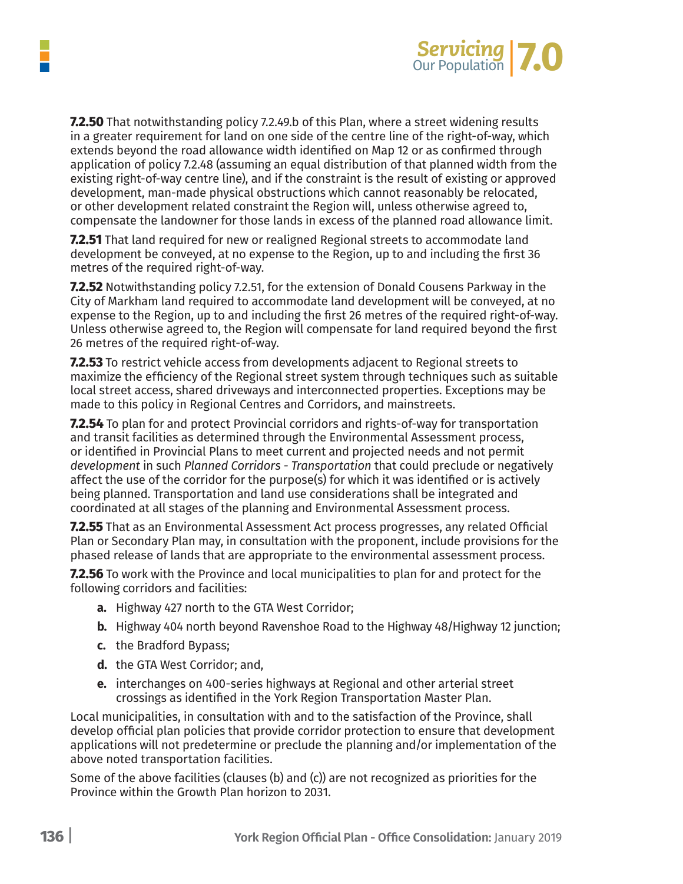

**7.2.50** That notwithstanding policy 7.2.49.b of this Plan, where a street widening results in a greater requirement for land on one side of the centre line of the right-of-way, which extends beyond the road allowance width identified on Map 12 or as confirmed through application of policy 7.2.48 (assuming an equal distribution of that planned width from the existing right-of-way centre line), and if the constraint is the result of existing or approved development, man-made physical obstructions which cannot reasonably be relocated, or other development related constraint the Region will, unless otherwise agreed to, compensate the landowner for those lands in excess of the planned road allowance limit.

**7.2.51** That land required for new or realigned Regional streets to accommodate land development be conveyed, at no expense to the Region, up to and including the first 36 metres of the required right-of-way.

**7.2.52** Notwithstanding policy 7.2.51, for the extension of Donald Cousens Parkway in the City of Markham land required to accommodate land development will be conveyed, at no expense to the Region, up to and including the first 26 metres of the required right-of-way. Unless otherwise agreed to, the Region will compensate for land required beyond the first 26 metres of the required right-of-way.

**7.2.53** To restrict vehicle access from developments adjacent to Regional streets to maximize the efficiency of the Regional street system through techniques such as suitable local street access, shared driveways and interconnected properties. Exceptions may be made to this policy in Regional Centres and Corridors, and mainstreets.

**7.2.54** To plan for and protect Provincial corridors and rights-of-way for transportation and transit facilities as determined through the Environmental Assessment process, or identified in Provincial Plans to meet current and projected needs and not permit *development* in such *Planned Corridors - Transportation* that could preclude or negatively affect the use of the corridor for the purpose(s) for which it was identified or is actively being planned. Transportation and land use considerations shall be integrated and coordinated at all stages of the planning and Environmental Assessment process.

**7.2.55** That as an Environmental Assessment Act process progresses, any related Official Plan or Secondary Plan may, in consultation with the proponent, include provisions for the phased release of lands that are appropriate to the environmental assessment process.

**7.2.56** To work with the Province and local municipalities to plan for and protect for the following corridors and facilities:

- **a.** Highway 427 north to the GTA West Corridor;
- **b.** Highway 404 north beyond Ravenshoe Road to the Highway 48/Highway 12 junction;
- **c.** the Bradford Bypass;
- **d.** the GTA West Corridor; and,
- **e.** interchanges on 400-series highways at Regional and other arterial street crossings as identified in the York Region Transportation Master Plan.

Local municipalities, in consultation with and to the satisfaction of the Province, shall develop official plan policies that provide corridor protection to ensure that development applications will not predetermine or preclude the planning and/or implementation of the above noted transportation facilities.

Some of the above facilities (clauses (b) and (c)) are not recognized as priorities for the Province within the Growth Plan horizon to 2031.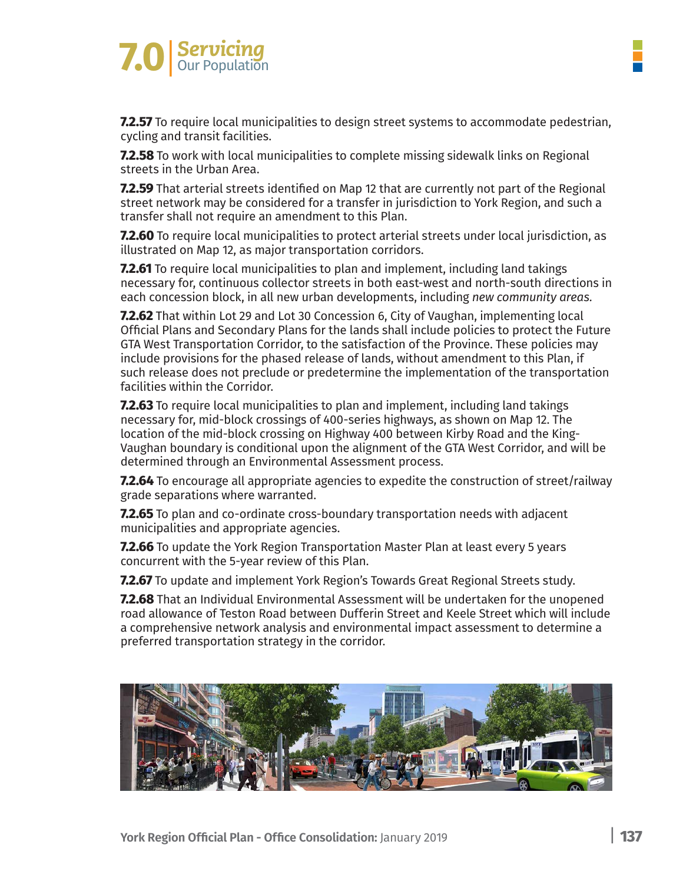

**7.2.57** To require local municipalities to design street systems to accommodate pedestrian, cycling and transit facilities.

**7.2.58** To work with local municipalities to complete missing sidewalk links on Regional streets in the Urban Area.

**7.2.59** That arterial streets identified on Map 12 that are currently not part of the Regional street network may be considered for a transfer in jurisdiction to York Region, and such a transfer shall not require an amendment to this Plan.

**7.2.60** To require local municipalities to protect arterial streets under local jurisdiction, as illustrated on Map 12, as major transportation corridors.

**7.2.61** To require local municipalities to plan and implement, including land takings necessary for, continuous collector streets in both east-west and north-south directions in each concession block, in all new urban developments, including *new community areas.*

**7.2.62** That within Lot 29 and Lot 30 Concession 6, City of Vaughan, implementing local Official Plans and Secondary Plans for the lands shall include policies to protect the Future GTA West Transportation Corridor, to the satisfaction of the Province. These policies may include provisions for the phased release of lands, without amendment to this Plan, if such release does not preclude or predetermine the implementation of the transportation facilities within the Corridor.

**7.2.63** To require local municipalities to plan and implement, including land takings necessary for, mid-block crossings of 400-series highways, as shown on Map 12. The location of the mid-block crossing on Highway 400 between Kirby Road and the King-Vaughan boundary is conditional upon the alignment of the GTA West Corridor, and will be determined through an Environmental Assessment process.

**7.2.64** To encourage all appropriate agencies to expedite the construction of street/railway grade separations where warranted.

**7.2.65** To plan and co-ordinate cross-boundary transportation needs with adjacent municipalities and appropriate agencies.

**7.2.66** To update the York Region Transportation Master Plan at least every 5 years concurrent with the 5-year review of this Plan.

**7.2.67** To update and implement York Region's Towards Great Regional Streets study.

**7.2.68** That an Individual Environmental Assessment will be undertaken for the unopened road allowance of Teston Road between Dufferin Street and Keele Street which will include a comprehensive network analysis and environmental impact assessment to determine a preferred transportation strategy in the corridor.

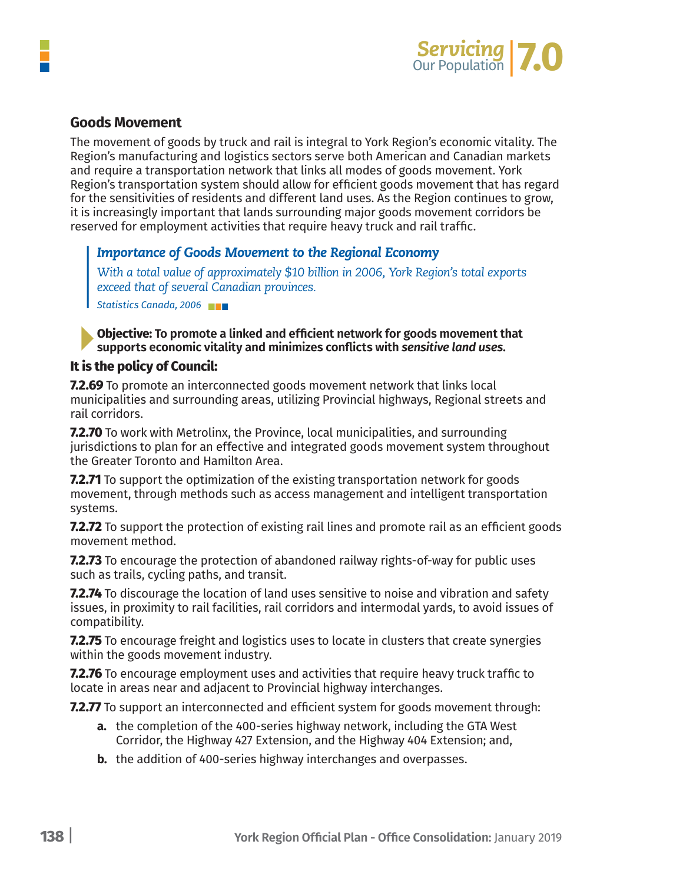

#### **Goods Movement**

The movement of goods by truck and rail is integral to York Region's economic vitality. The Region's manufacturing and logistics sectors serve both American and Canadian markets and require a transportation network that links all modes of goods movement. York Region's transportation system should allow for efficient goods movement that has regard for the sensitivities of residents and different land uses. As the Region continues to grow, it is increasingly important that lands surrounding major goods movement corridors be reserved for employment activities that require heavy truck and rail traffic.

#### *Importance of Goods Movement to the Regional Economy*

*With a total value of approximately \$10 billion in 2006, York Region's total exports exceed that of several Canadian provinces.*

*Statistics Canada, 2006*

**Objective: To promote a linked and efficient network for goods movement that supports economic vitality and minimizes conflicts with** *sensitive land uses.*

#### **It is the policy of Council:**

**7.2.69** To promote an interconnected goods movement network that links local municipalities and surrounding areas, utilizing Provincial highways, Regional streets and rail corridors.

**7.2.70** To work with Metrolinx, the Province, local municipalities, and surrounding jurisdictions to plan for an effective and integrated goods movement system throughout the Greater Toronto and Hamilton Area.

**7.2.71** To support the optimization of the existing transportation network for goods movement, through methods such as access management and intelligent transportation systems.

**7.2.72** To support the protection of existing rail lines and promote rail as an efficient goods movement method.

**7.2.73** To encourage the protection of abandoned railway rights-of-way for public uses such as trails, cycling paths, and transit.

**7.2.74** To discourage the location of land uses sensitive to noise and vibration and safety issues, in proximity to rail facilities, rail corridors and intermodal yards, to avoid issues of compatibility.

**7.2.75** To encourage freight and logistics uses to locate in clusters that create synergies within the goods movement industry.

**7.2.76** To encourage employment uses and activities that require heavy truck traffic to locate in areas near and adjacent to Provincial highway interchanges.

**7.2.77** To support an interconnected and efficient system for goods movement through:

- **a.** the completion of the 400-series highway network, including the GTA West Corridor, the Highway 427 Extension, and the Highway 404 Extension; and,
- **b.** the addition of 400-series highway interchanges and overpasses.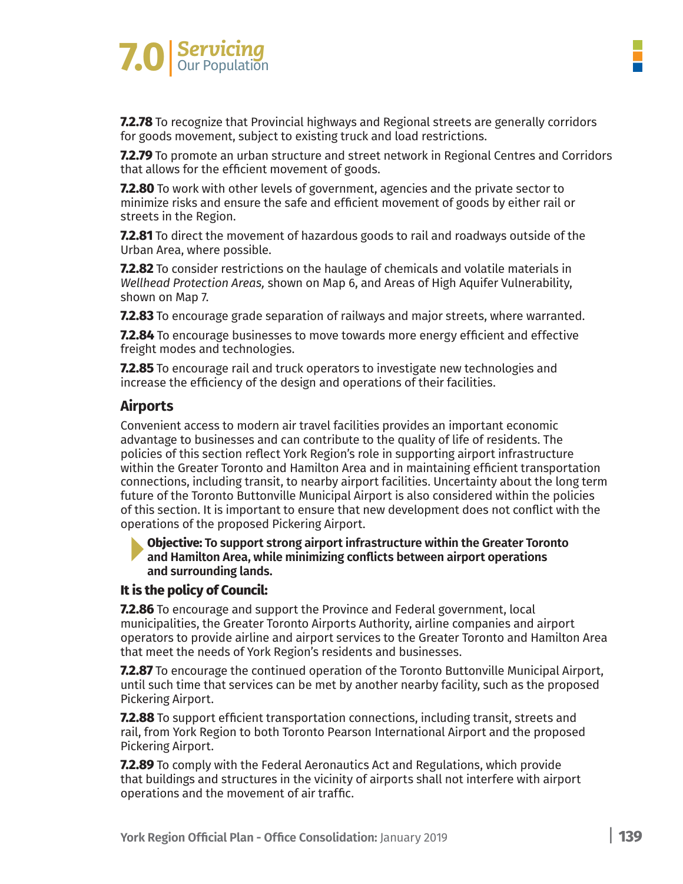

**7.2.78** To recognize that Provincial highways and Regional streets are generally corridors for goods movement, subject to existing truck and load restrictions.

**7.2.79** To promote an urban structure and street network in Regional Centres and Corridors that allows for the efficient movement of goods.

**7.2.80** To work with other levels of government, agencies and the private sector to minimize risks and ensure the safe and efficient movement of goods by either rail or streets in the Region.

**7.2.81** To direct the movement of hazardous goods to rail and roadways outside of the Urban Area, where possible.

**7.2.82** To consider restrictions on the haulage of chemicals and volatile materials in *Wellhead Protection Areas,* shown on Map 6, and Areas of High Aquifer Vulnerability, shown on Map 7.

**7.2.83** To encourage grade separation of railways and major streets, where warranted.

**7.2.84** To encourage businesses to move towards more energy efficient and effective freight modes and technologies.

**7.2.85** To encourage rail and truck operators to investigate new technologies and increase the efficiency of the design and operations of their facilities.

#### **Airports**

Convenient access to modern air travel facilities provides an important economic advantage to businesses and can contribute to the quality of life of residents. The policies of this section reflect York Region's role in supporting airport infrastructure within the Greater Toronto and Hamilton Area and in maintaining efficient transportation connections, including transit, to nearby airport facilities. Uncertainty about the long term future of the Toronto Buttonville Municipal Airport is also considered within the policies of this section. It is important to ensure that new development does not conflict with the operations of the proposed Pickering Airport.

#### **Objective: To support strong airport infrastructure within the Greater Toronto and Hamilton Area, while minimizing conflicts between airport operations and surrounding lands.**

#### **It is the policy of Council:**

**7.2.86** To encourage and support the Province and Federal government, local municipalities, the Greater Toronto Airports Authority, airline companies and airport operators to provide airline and airport services to the Greater Toronto and Hamilton Area that meet the needs of York Region's residents and businesses.

**7.2.87** To encourage the continued operation of the Toronto Buttonville Municipal Airport, until such time that services can be met by another nearby facility, such as the proposed Pickering Airport.

**7.2.88** To support efficient transportation connections, including transit, streets and rail, from York Region to both Toronto Pearson International Airport and the proposed Pickering Airport.

**7.2.89** To comply with the Federal Aeronautics Act and Regulations, which provide that buildings and structures in the vicinity of airports shall not interfere with airport operations and the movement of air traffic.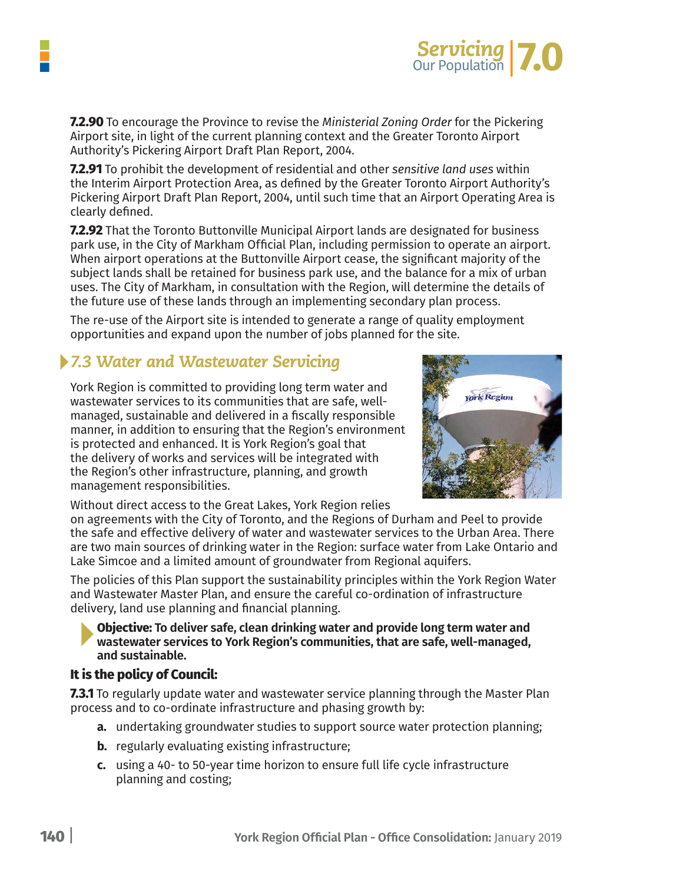

**7.2.90** To encourage the Province to revise the *Ministerial Zoning Order* for the Pickering Airport site, in light of the current planning context and the Greater Toronto Airport Authority's Pickering Airport Draft Plan Report, 2004.

**7.2.91** To prohibit the development of residential and other *sensitive land uses* within the Interim Airport Protection Area, as defined by the Greater Toronto Airport Authority's Pickering Airport Draft Plan Report, 2004, until such time that an Airport Operating Area is clearly defined.

**7.2.92** That the Toronto Buttonville Municipal Airport lands are designated for business park use, in the City of Markham Official Plan, including permission to operate an airport. When airport operations at the Buttonville Airport cease, the significant majority of the subject lands shall be retained for business park use, and the balance for a mix of urban uses. The City of Markham, in consultation with the Region, will determine the details of the future use of these lands through an implementing secondary plan process.

The re-use of the Airport site is intended to generate a range of quality employment opportunities and expand upon the number of jobs planned for the site.

## *7.3 Water and Wastewater Servicing*

York Region is committed to providing long term water and wastewater services to its communities that are safe, wellmanaged, sustainable and delivered in a fiscally responsible manner, in addition to ensuring that the Region's environment is protected and enhanced. It is York Region's goal that the delivery of works and services will be integrated with the Region's other infrastructure, planning, and growth management responsibilities.



Without direct access to the Great Lakes, York Region relies

on agreements with the City of Toronto, and the Regions of Durham and Peel to provide the safe and effective delivery of water and wastewater services to the Urban Area. There are two main sources of drinking water in the Region: surface water from Lake Ontario and Lake Simcoe and a limited amount of groundwater from Regional aquifers.

The policies of this Plan support the sustainability principles within the York Region Water and Wastewater Master Plan, and ensure the careful co-ordination of infrastructure delivery, land use planning and financial planning.

**Objective: To deliver safe, clean drinking water and provide long term water and wastewater services to York Region's communities, that are safe, well-managed, and sustainable.**

#### **It is the policy of Council:**

**7.3.1** To regularly update water and wastewater service planning through the Master Plan process and to co-ordinate infrastructure and phasing growth by:

- **a.** undertaking groundwater studies to support source water protection planning;
- **b.** regularly evaluating existing infrastructure;
- **c.** using a 40- to 50-year time horizon to ensure full life cycle infrastructure planning and costing;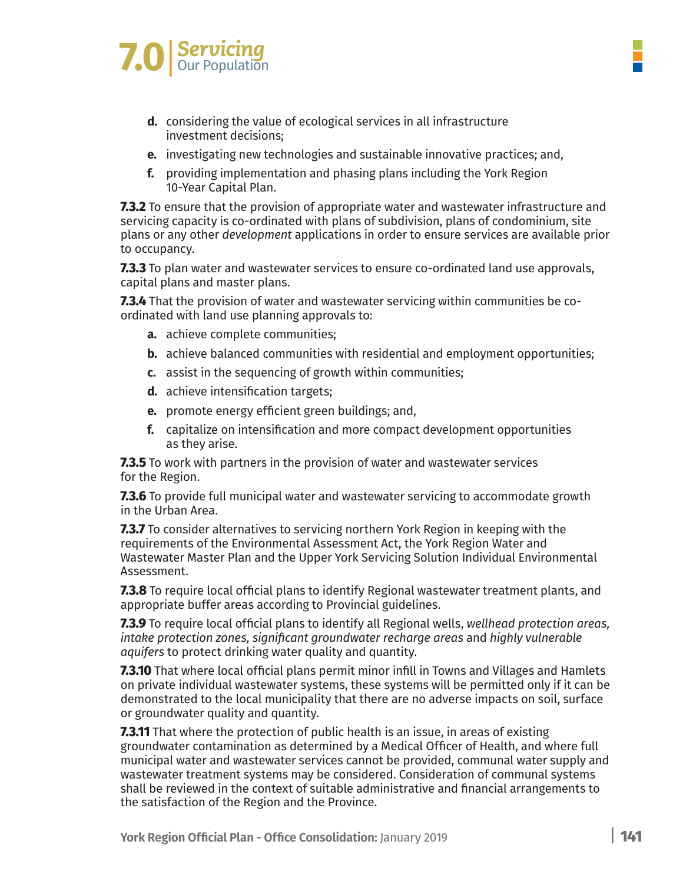

- **d.** considering the value of ecological services in all infrastructure investment decisions;
- **e.** investigating new technologies and sustainable innovative practices; and,
- **f.** providing implementation and phasing plans including the York Region 10-Year Capital Plan.

**7.3.2** To ensure that the provision of appropriate water and wastewater infrastructure and servicing capacity is co-ordinated with plans of subdivision, plans of condominium, site plans or any other *development* applications in order to ensure services are available prior to occupancy.

**7.3.3** To plan water and wastewater services to ensure co-ordinated land use approvals, capital plans and master plans.

**7.3.4** That the provision of water and wastewater servicing within communities be coordinated with land use planning approvals to:

- **a.** achieve complete communities;
- **b.** achieve balanced communities with residential and employment opportunities;
- **c.** assist in the sequencing of growth within communities;
- **d.** achieve intensification targets;
- **e.** promote energy efficient green buildings; and,
- **f.** capitalize on intensification and more compact development opportunities as they arise.

**7.3.5** To work with partners in the provision of water and wastewater services for the Region.

**7.3.6** To provide full municipal water and wastewater servicing to accommodate growth in the Urban Area.

**7.3.7** To consider alternatives to servicing northern York Region in keeping with the requirements of the Environmental Assessment Act, the York Region Water and Wastewater Master Plan and the Upper York Servicing Solution Individual Environmental Assessment.

**7.3.8** To require local official plans to identify Regional wastewater treatment plants, and appropriate buffer areas according to Provincial guidelines.

**7.3.9** To require local official plans to identify all Regional wells, *wellhead protection areas, intake protection zones, significant groundwater recharge areas* and *highly vulnerable aquifers* to protect drinking water quality and quantity.

**7.3.10** That where local official plans permit minor infill in Towns and Villages and Hamlets on private individual wastewater systems, these systems will be permitted only if it can be demonstrated to the local municipality that there are no adverse impacts on soil, surface or groundwater quality and quantity.

**7.3.11** That where the protection of public health is an issue, in areas of existing groundwater contamination as determined by a Medical Officer of Health, and where full municipal water and wastewater services cannot be provided, communal water supply and wastewater treatment systems may be considered. Consideration of communal systems shall be reviewed in the context of suitable administrative and financial arrangements to the satisfaction of the Region and the Province.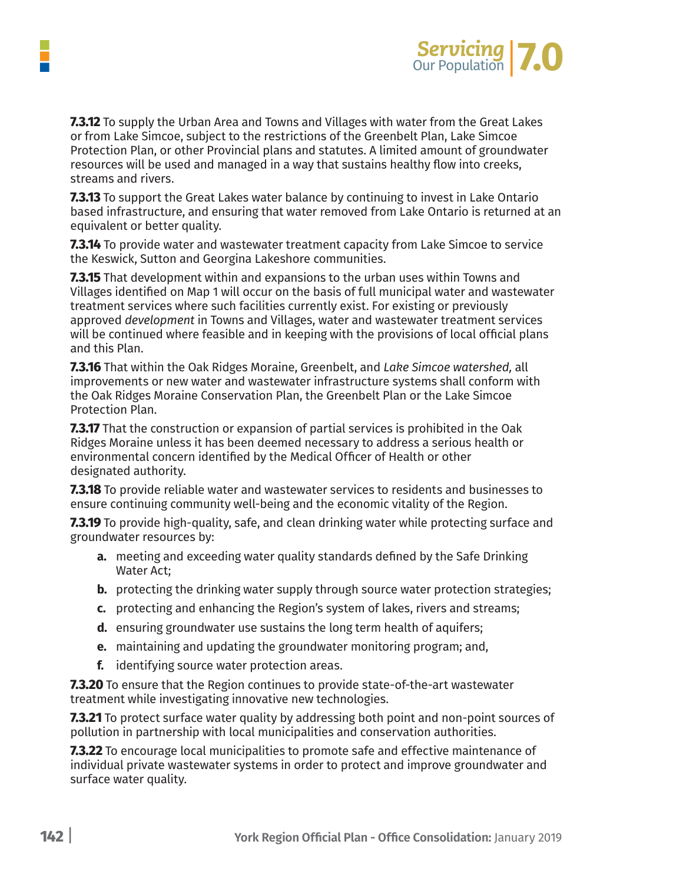

**7.3.12** To supply the Urban Area and Towns and Villages with water from the Great Lakes or from Lake Simcoe, subject to the restrictions of the Greenbelt Plan, Lake Simcoe Protection Plan, or other Provincial plans and statutes. A limited amount of groundwater resources will be used and managed in a way that sustains healthy flow into creeks, streams and rivers.

**7.3.13** To support the Great Lakes water balance by continuing to invest in Lake Ontario based infrastructure, and ensuring that water removed from Lake Ontario is returned at an equivalent or better quality.

**7.3.14** To provide water and wastewater treatment capacity from Lake Simcoe to service the Keswick, Sutton and Georgina Lakeshore communities.

**7.3.15** That development within and expansions to the urban uses within Towns and Villages identified on Map 1 will occur on the basis of full municipal water and wastewater treatment services where such facilities currently exist. For existing or previously approved *development* in Towns and Villages, water and wastewater treatment services will be continued where feasible and in keeping with the provisions of local official plans and this Plan.

**7.3.16** That within the Oak Ridges Moraine, Greenbelt, and *Lake Simcoe watershed,* all improvements or new water and wastewater infrastructure systems shall conform with the Oak Ridges Moraine Conservation Plan, the Greenbelt Plan or the Lake Simcoe Protection Plan.

**7.3.17** That the construction or expansion of partial services is prohibited in the Oak Ridges Moraine unless it has been deemed necessary to address a serious health or environmental concern identified by the Medical Officer of Health or other designated authority.

**7.3.18** To provide reliable water and wastewater services to residents and businesses to ensure continuing community well-being and the economic vitality of the Region.

**7.3.19** To provide high-quality, safe, and clean drinking water while protecting surface and groundwater resources by:

- **a.** meeting and exceeding water quality standards defined by the Safe Drinking Water Act;
- **b.** protecting the drinking water supply through source water protection strategies;
- **c.** protecting and enhancing the Region's system of lakes, rivers and streams;
- **d.** ensuring groundwater use sustains the long term health of aquifers;
- **e.** maintaining and updating the groundwater monitoring program; and,
- **f.** identifying source water protection areas.

**7.3.20** To ensure that the Region continues to provide state-of-the-art wastewater treatment while investigating innovative new technologies.

**7.3.21** To protect surface water quality by addressing both point and non-point sources of pollution in partnership with local municipalities and conservation authorities.

**7.3.22** To encourage local municipalities to promote safe and effective maintenance of individual private wastewater systems in order to protect and improve groundwater and surface water quality.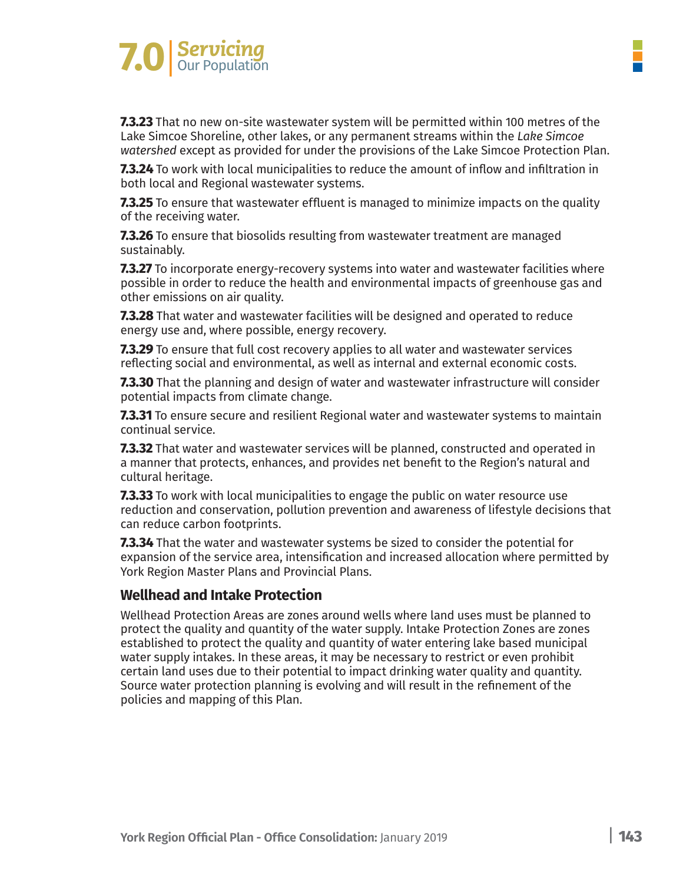

**7.3.23** That no new on-site wastewater system will be permitted within 100 metres of the Lake Simcoe Shoreline, other lakes, or any permanent streams within the *Lake Simcoe watershed* except as provided for under the provisions of the Lake Simcoe Protection Plan.

**7.3.24** To work with local municipalities to reduce the amount of inflow and infiltration in both local and Regional wastewater systems.

**7.3.25** To ensure that wastewater effluent is managed to minimize impacts on the quality of the receiving water.

**7.3.26** To ensure that biosolids resulting from wastewater treatment are managed sustainably.

**7.3.27** To incorporate energy-recovery systems into water and wastewater facilities where possible in order to reduce the health and environmental impacts of greenhouse gas and other emissions on air quality.

**7.3.28** That water and wastewater facilities will be designed and operated to reduce energy use and, where possible, energy recovery.

**7.3.29** To ensure that full cost recovery applies to all water and wastewater services reflecting social and environmental, as well as internal and external economic costs.

**7.3.30** That the planning and design of water and wastewater infrastructure will consider potential impacts from climate change.

**7.3.31** To ensure secure and resilient Regional water and wastewater systems to maintain continual service.

**7.3.32** That water and wastewater services will be planned, constructed and operated in a manner that protects, enhances, and provides net benefit to the Region's natural and cultural heritage.

**7.3.33** To work with local municipalities to engage the public on water resource use reduction and conservation, pollution prevention and awareness of lifestyle decisions that can reduce carbon footprints.

**7.3.34** That the water and wastewater systems be sized to consider the potential for expansion of the service area, intensification and increased allocation where permitted by York Region Master Plans and Provincial Plans.

#### **Wellhead and Intake Protection**

Wellhead Protection Areas are zones around wells where land uses must be planned to protect the quality and quantity of the water supply. Intake Protection Zones are zones established to protect the quality and quantity of water entering lake based municipal water supply intakes. In these areas, it may be necessary to restrict or even prohibit certain land uses due to their potential to impact drinking water quality and quantity. Source water protection planning is evolving and will result in the refinement of the policies and mapping of this Plan.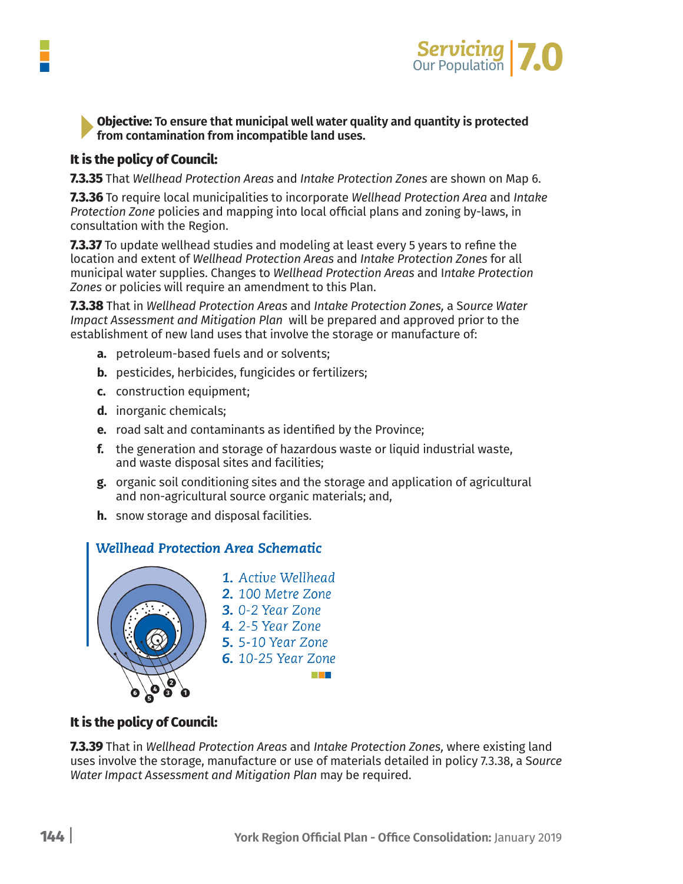

**Objective: To ensure that municipal well water quality and quantity is protected from contamination from incompatible land uses.**

#### **It is the policy of Council:**

**7.3.35** That *Wellhead Protection Areas* and *Intake Protection Zones* are shown on Map 6.

**7.3.36** To require local municipalities to incorporate *Wellhead Protection Area* and *Intake Protection Zone* policies and mapping into local official plans and zoning by-laws, in consultation with the Region.

**7.3.37** To update wellhead studies and modeling at least every 5 years to refine the location and extent of *Wellhead Protection Areas* and *Intake Protection Zones* for all municipal water supplies. Changes to *Wellhead Protection Areas* and I*ntake Protection Zones* or policies will require an amendment to this Plan.

**7.3.38** That in *Wellhead Protection Areas* and *Intake Protection Zones,* a S*ource Water Impact Assessment and Mitigation Plan* will be prepared and approved prior to the establishment of new land uses that involve the storage or manufacture of:

- **a.** petroleum-based fuels and or solvents;
- **b.** pesticides, herbicides, fungicides or fertilizers;
- **c.** construction equipment;
- **d.** inorganic chemicals;
- **e.** road salt and contaminants as identified by the Province;
- **f.** the generation and storage of hazardous waste or liquid industrial waste, and waste disposal sites and facilities;
- **g.** organic soil conditioning sites and the storage and application of agricultural and non-agricultural source organic materials; and,
- **h.** snow storage and disposal facilities.

#### Wellhead Protection Area Schematic



#### **It is the policy of Council:**

**7.3.39** That in *Wellhead Protection Areas* and *Intake Protection Zones,* where existing land uses involve the storage, manufacture or use of materials detailed in policy 7.3.38, a S*ource Water Impact Assessment and Mitigation Plan* may be required.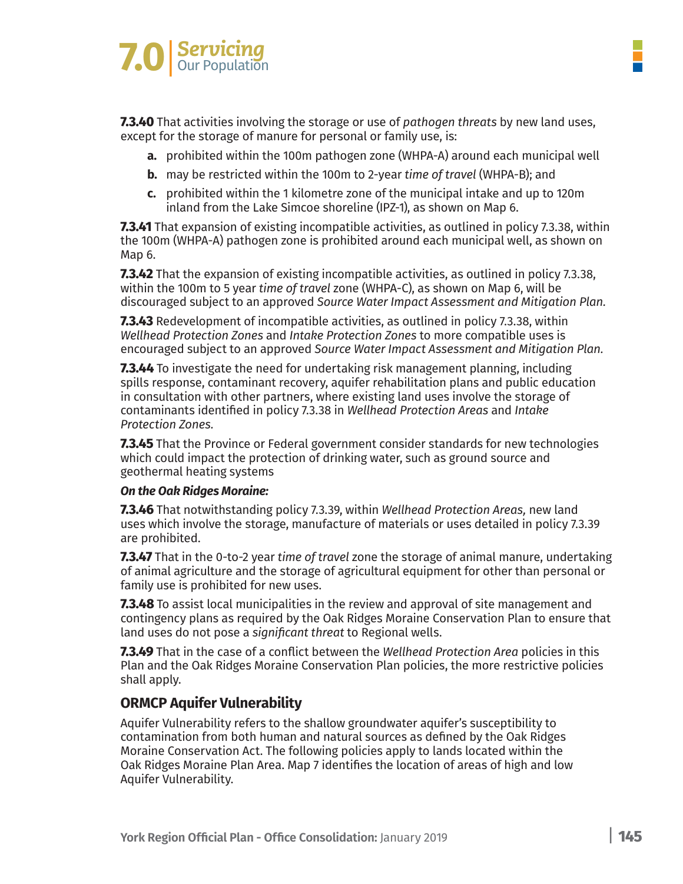# **7.0** Servicing

**7.3.40** That activities involving the storage or use of *pathogen threats* by new land uses, except for the storage of manure for personal or family use, is:

- **a.** prohibited within the 100m pathogen zone (WHPA-A) around each municipal well
- **b.** may be restricted within the 100m to 2-year *time of travel* (WHPA-B); and
- **c.** prohibited within the 1 kilometre zone of the municipal intake and up to 120m inland from the Lake Simcoe shoreline (IPZ-1), as shown on Map 6.

**7.3.41** That expansion of existing incompatible activities, as outlined in policy 7.3.38, within the 100m (WHPA-A) pathogen zone is prohibited around each municipal well, as shown on Map 6.

**7.3.42** That the expansion of existing incompatible activities, as outlined in policy 7.3.38, within the 100m to 5 year *time of travel* zone (WHPA-C), as shown on Map 6, will be discouraged subject to an approved *Source Water Impact Assessment and Mitigation Plan.*

**7.3.43** Redevelopment of incompatible activities, as outlined in policy 7.3.38, within *Wellhead Protection Zones* and *Intake Protection Zones* to more compatible uses is encouraged subject to an approved *Source Water Impact Assessment and Mitigation Plan.*

**7.3.44** To investigate the need for undertaking risk management planning, including spills response, contaminant recovery, aquifer rehabilitation plans and public education in consultation with other partners, where existing land uses involve the storage of contaminants identified in policy 7.3.38 in *Wellhead Protection Areas* and *Intake Protection Zones.*

**7.3.45** That the Province or Federal government consider standards for new technologies which could impact the protection of drinking water, such as ground source and geothermal heating systems

#### *On the Oak Ridges Moraine:*

**7.3.46** That notwithstanding policy 7.3.39, within *Wellhead Protection Areas,* new land uses which involve the storage, manufacture of materials or uses detailed in policy 7.3.39 are prohibited.

**7.3.47** That in the 0-to-2 year *time of travel* zone the storage of animal manure, undertaking of animal agriculture and the storage of agricultural equipment for other than personal or family use is prohibited for new uses.

**7.3.48** To assist local municipalities in the review and approval of site management and contingency plans as required by the Oak Ridges Moraine Conservation Plan to ensure that land uses do not pose a *significant threat* to Regional wells.

**7.3.49** That in the case of a conflict between the *Wellhead Protection Area* policies in this Plan and the Oak Ridges Moraine Conservation Plan policies, the more restrictive policies shall apply.

#### **ORMCP Aquifer Vulnerability**

Aquifer Vulnerability refers to the shallow groundwater aquifer's susceptibility to contamination from both human and natural sources as defined by the Oak Ridges Moraine Conservation Act. The following policies apply to lands located within the Oak Ridges Moraine Plan Area. Map 7 identifies the location of areas of high and low Aquifer Vulnerability.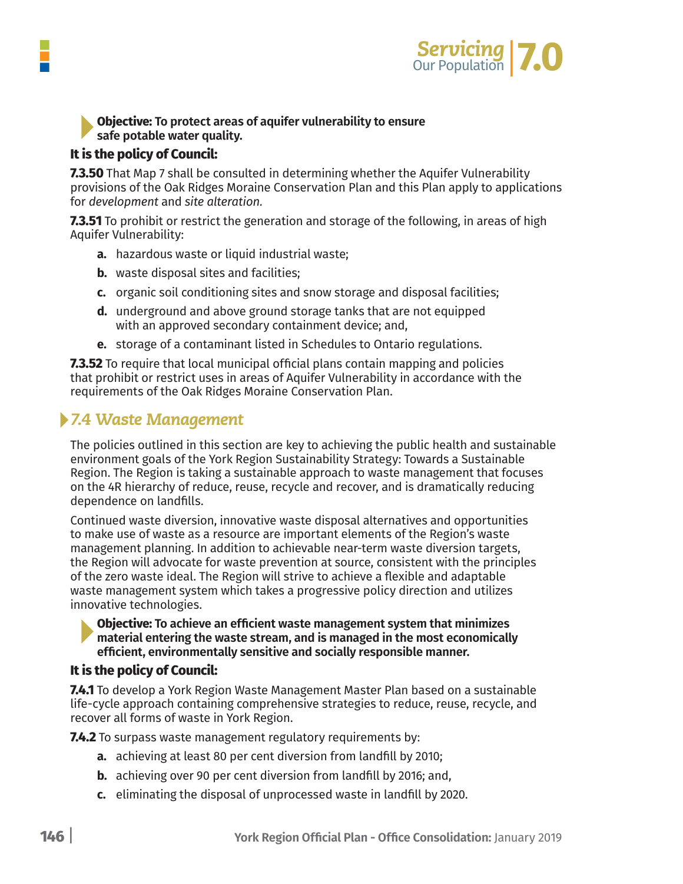

#### **Objective: To protect areas of aquifer vulnerability to ensure safe potable water quality.**

#### **It is the policy of Council:**

**7.3.50** That Map 7 shall be consulted in determining whether the Aquifer Vulnerability provisions of the Oak Ridges Moraine Conservation Plan and this Plan apply to applications for *development* and *site alteration.*

**7.3.51** To prohibit or restrict the generation and storage of the following, in areas of high Aquifer Vulnerability:

- **a.** hazardous waste or liquid industrial waste;
- **b.** waste disposal sites and facilities:
- **c.** organic soil conditioning sites and snow storage and disposal facilities;
- **d.** underground and above ground storage tanks that are not equipped with an approved secondary containment device; and,
- **e.** storage of a contaminant listed in Schedules to Ontario regulations.

**7.3.52** To require that local municipal official plans contain mapping and policies that prohibit or restrict uses in areas of Aquifer Vulnerability in accordance with the requirements of the Oak Ridges Moraine Conservation Plan.

### *7.4 Waste Management*

The policies outlined in this section are key to achieving the public health and sustainable environment goals of the York Region Sustainability Strategy: Towards a Sustainable Region. The Region is taking a sustainable approach to waste management that focuses on the 4R hierarchy of reduce, reuse, recycle and recover, and is dramatically reducing dependence on landfills.

Continued waste diversion, innovative waste disposal alternatives and opportunities to make use of waste as a resource are important elements of the Region's waste management planning. In addition to achievable near-term waste diversion targets, the Region will advocate for waste prevention at source, consistent with the principles of the zero waste ideal. The Region will strive to achieve a flexible and adaptable waste management system which takes a progressive policy direction and utilizes innovative technologies.

#### **Objective: To achieve an efficient waste management system that minimizes material entering the waste stream, and is managed in the most economically efficient, environmentally sensitive and socially responsible manner.**

#### **It is the policy of Council:**

**7.4.1** To develop a York Region Waste Management Master Plan based on a sustainable life-cycle approach containing comprehensive strategies to reduce, reuse, recycle, and recover all forms of waste in York Region.

**7.4.2** To surpass waste management regulatory requirements by:

- **a.** achieving at least 80 per cent diversion from landfill by 2010;
- **b.** achieving over 90 per cent diversion from landfill by 2016; and,
- **c.** eliminating the disposal of unprocessed waste in landfill by 2020.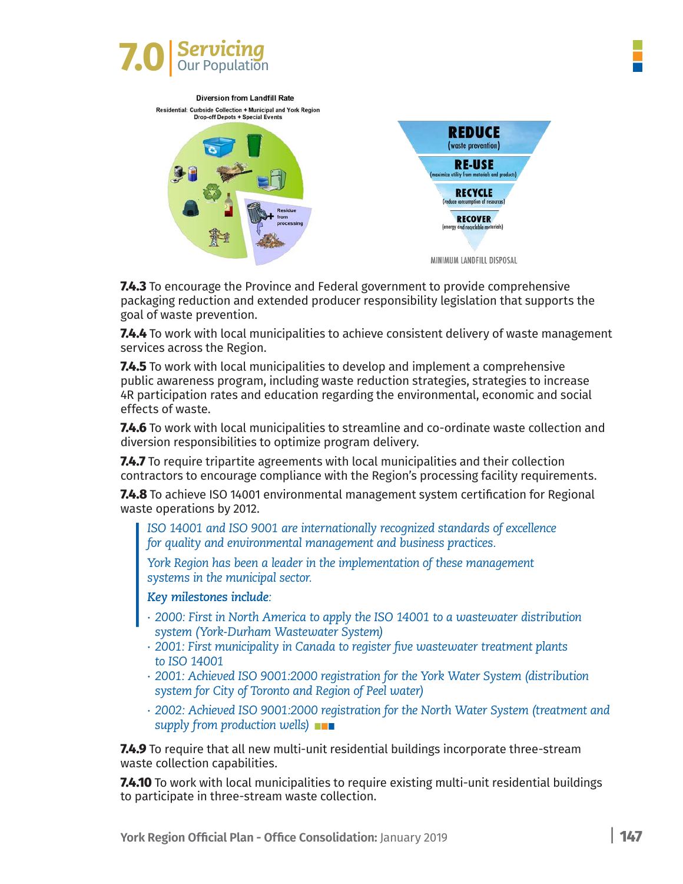

**Diversion from Landfill Rate** 



**7.4.3** To encourage the Province and Federal government to provide comprehensive packaging reduction and extended producer responsibility legislation that supports the goal of waste prevention.

**7.4.4** To work with local municipalities to achieve consistent delivery of waste management services across the Region.

**7.4.5** To work with local municipalities to develop and implement a comprehensive public awareness program, including waste reduction strategies, strategies to increase 4R participation rates and education regarding the environmental, economic and social effects of waste.

**7.4.6** To work with local municipalities to streamline and co-ordinate waste collection and diversion responsibilities to optimize program delivery.

**7.4.7** To require tripartite agreements with local municipalities and their collection contractors to encourage compliance with the Region's processing facility requirements.

**7.4.8** To achieve ISO 14001 environmental management system certification for Regional waste operations by 2012.

*ISO 14001 and ISO 9001 are internationally recognized standards of excellence for quality and environmental management and business practices.*

*York Region has been a leader in the implementation of these management systems in the municipal sector.*

*Key milestones include:*

- *∙ 2000: First in North America to apply the ISO 14001 to a wastewater distribution system (York-Durham Wastewater System)*
- *∙ 2001: First municipality in Canada to register five wastewater treatment plants to ISO 14001*
- *∙ 2001: Achieved ISO 9001:2000 registration for the York Water System (distribution system for City of Toronto and Region of Peel water)*
- *∙ 2002: Achieved ISO 9001:2000 registration for the North Water System (treatment and supply from production wells)*

**7.4.9** To require that all new multi-unit residential buildings incorporate three-stream waste collection capabilities.

**7.4.10** To work with local municipalities to require existing multi-unit residential buildings to participate in three-stream waste collection.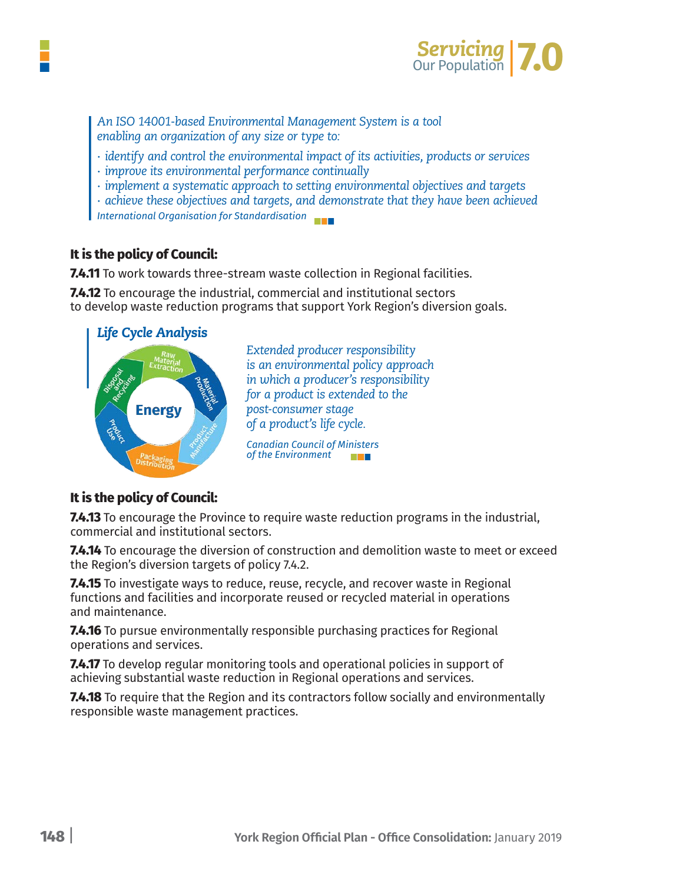

*An ISO 14001-based Environmental Management System is a tool enabling an organization of any size or type to:*

- *∙ identify and control the environmental impact of its activities, products or services*
- *∙ improve its environmental performance continually*
- *∙ implement a systematic approach to setting environmental objectives and targets*

*∙ achieve these objectives and targets, and demonstrate that they have been achieved International Organisation for Standardisation*

#### **It is the policy of Council:**

**7.4.11** To work towards three-stream waste collection in Regional facilities.

**7.4.12** To encourage the industrial, commercial and institutional sectors to develop waste reduction programs that support York Region's diversion goals.



*Extended producer responsibility is an environmental policy approach in which a producer's responsibility for a product is extended to the post-consumer stage of a product's life cycle.*

*Canadian Council of Ministers of the Environment* a sa Tanzania

#### **It is the policy of Council:**

**7.4.13** To encourage the Province to require waste reduction programs in the industrial, commercial and institutional sectors.

**7.4.14** To encourage the diversion of construction and demolition waste to meet or exceed the Region's diversion targets of policy 7.4.2.

**7.4.15** To investigate ways to reduce, reuse, recycle, and recover waste in Regional functions and facilities and incorporate reused or recycled material in operations and maintenance.

**7.4.16** To pursue environmentally responsible purchasing practices for Regional operations and services.

**7.4.17** To develop regular monitoring tools and operational policies in support of achieving substantial waste reduction in Regional operations and services.

**7.4.18** To require that the Region and its contractors follow socially and environmentally responsible waste management practices.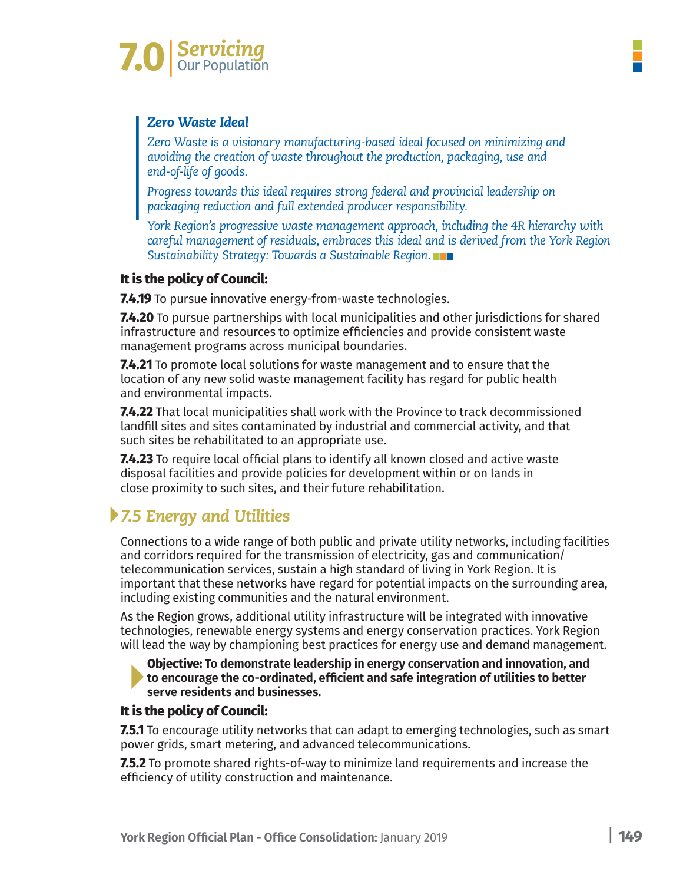

#### *Zero Waste Ideal*

*Zero Waste is a visionary manufacturing-based ideal focused on minimizing and avoiding the creation of waste throughout the production, packaging, use and end-of-life of goods.*

*Progress towards this ideal requires strong federal and provincial leadership on packaging reduction and full extended producer responsibility.*

*York Region's progressive waste management approach, including the 4R hierarchy with careful management of residuals, embraces this ideal and is derived from the York Region Sustainability Strategy: Towards a Sustainable Region.*

### **It is the policy of Council:**

**7.4.19** To pursue innovative energy-from-waste technologies.

**7.4.20** To pursue partnerships with local municipalities and other jurisdictions for shared infrastructure and resources to optimize efficiencies and provide consistent waste management programs across municipal boundaries.

**7.4.21** To promote local solutions for waste management and to ensure that the location of any new solid waste management facility has regard for public health and environmental impacts.

**7.4.22** That local municipalities shall work with the Province to track decommissioned landfill sites and sites contaminated by industrial and commercial activity, and that such sites be rehabilitated to an appropriate use.

**7.4.23** To require local official plans to identify all known closed and active waste disposal facilities and provide policies for development within or on lands in close proximity to such sites, and their future rehabilitation.

# *7.5 Energy and Utilities*

Connections to a wide range of both public and private utility networks, including facilities and corridors required for the transmission of electricity, gas and communication/ telecommunication services, sustain a high standard of living in York Region. It is important that these networks have regard for potential impacts on the surrounding area, including existing communities and the natural environment.

As the Region grows, additional utility infrastructure will be integrated with innovative technologies, renewable energy systems and energy conservation practices. York Region will lead the way by championing best practices for energy use and demand management.

**Objective: To demonstrate leadership in energy conservation and innovation, and to encourage the co-ordinated, efficient and safe integration of utilities to better serve residents and businesses.**

#### **It is the policy of Council:**

**7.5.1** To encourage utility networks that can adapt to emerging technologies, such as smart power grids, smart metering, and advanced telecommunications.

**7.5.2** To promote shared rights-of-way to minimize land requirements and increase the efficiency of utility construction and maintenance.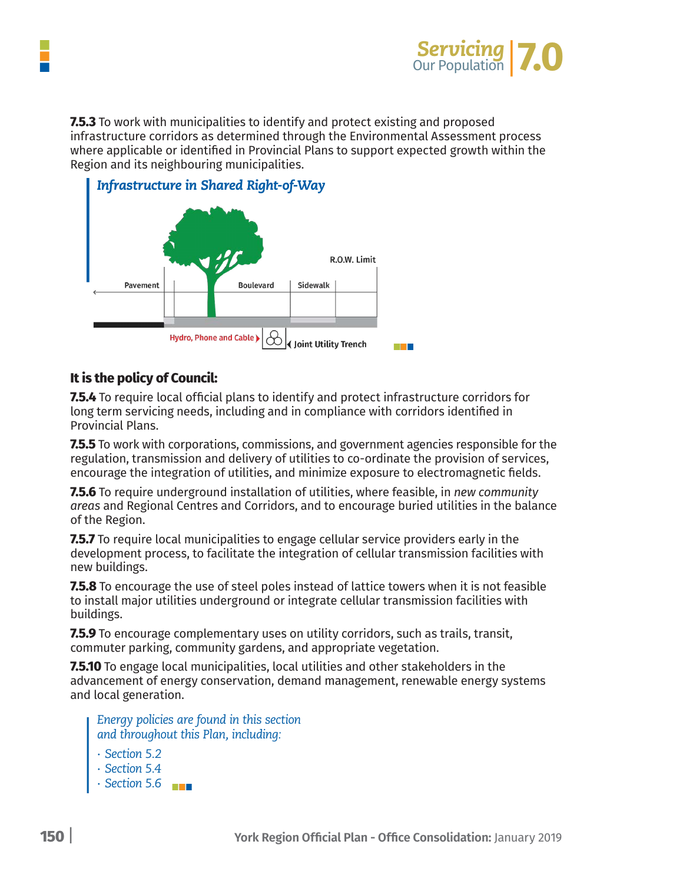

**7.5.3** To work with municipalities to identify and protect existing and proposed infrastructure corridors as determined through the Environmental Assessment process where applicable or identified in Provincial Plans to support expected growth within the Region and its neighbouring municipalities.



#### **It is the policy of Council:**

**7.5.4** To require local official plans to identify and protect infrastructure corridors for long term servicing needs, including and in compliance with corridors identified in Provincial Plans.

**7.5.5** To work with corporations, commissions, and government agencies responsible for the regulation, transmission and delivery of utilities to co-ordinate the provision of services, encourage the integration of utilities, and minimize exposure to electromagnetic fields.

**7.5.6** To require underground installation of utilities, where feasible, in *new community areas* and Regional Centres and Corridors, and to encourage buried utilities in the balance of the Region.

**7.5.7** To require local municipalities to engage cellular service providers early in the development process, to facilitate the integration of cellular transmission facilities with new buildings.

**7.5.8** To encourage the use of steel poles instead of lattice towers when it is not feasible to install major utilities underground or integrate cellular transmission facilities with buildings.

**7.5.9** To encourage complementary uses on utility corridors, such as trails, transit, commuter parking, community gardens, and appropriate vegetation.

**7.5.10** To engage local municipalities, local utilities and other stakeholders in the advancement of energy conservation, demand management, renewable energy systems and local generation.

*Energy policies are found in this section and throughout this Plan, including:* 

- *∙ Section 5.2*
- *∙ Section 5.4*
- *∙ Section 5.6*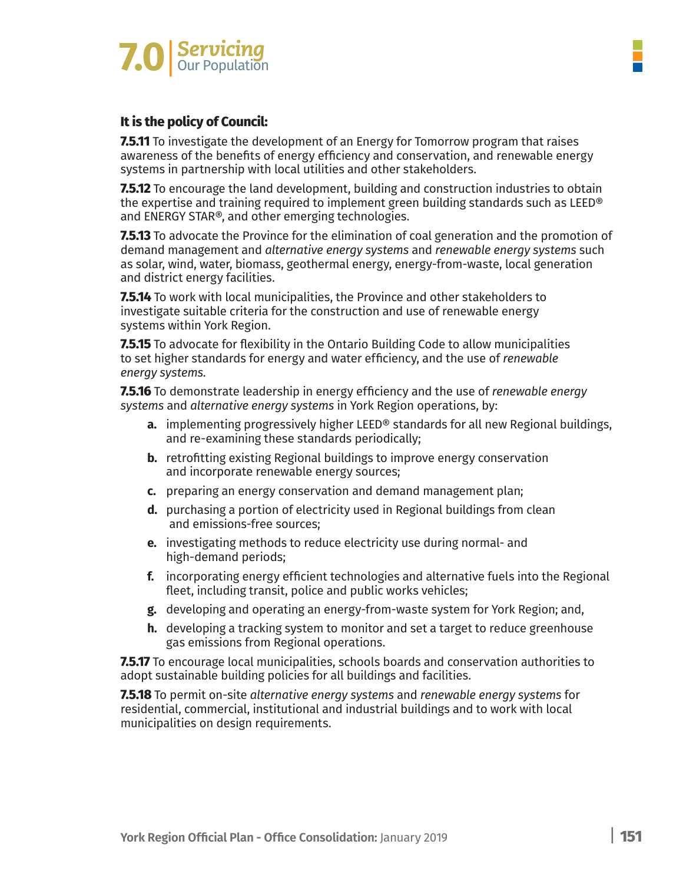

#### **It is the policy of Council:**

**7.5.11** To investigate the development of an Energy for Tomorrow program that raises awareness of the benefits of energy efficiency and conservation, and renewable energy systems in partnership with local utilities and other stakeholders.

**7.5.12** To encourage the land development, building and construction industries to obtain the expertise and training required to implement green building standards such as LEED® and ENERGY STAR®, and other emerging technologies.

**7.5.13** To advocate the Province for the elimination of coal generation and the promotion of demand management and *alternative energy systems* and *renewable energy systems* such as solar, wind, water, biomass, geothermal energy, energy-from-waste, local generation and district energy facilities.

**7.5.14** To work with local municipalities, the Province and other stakeholders to investigate suitable criteria for the construction and use of renewable energy systems within York Region.

**7.5.15** To advocate for flexibility in the Ontario Building Code to allow municipalities to set higher standards for energy and water efficiency, and the use of *renewable energy systems.*

**7.5.16** To demonstrate leadership in energy efficiency and the use of *renewable energy systems* and *alternative energy systems* in York Region operations, by:

- **a.** implementing progressively higher LEED® standards for all new Regional buildings, and re-examining these standards periodically;
- **b.** retrofitting existing Regional buildings to improve energy conservation and incorporate renewable energy sources;
- **c.** preparing an energy conservation and demand management plan;
- **d.** purchasing a portion of electricity used in Regional buildings from clean and emissions-free sources;
- **e.** investigating methods to reduce electricity use during normal- and high-demand periods;
- **f.** incorporating energy efficient technologies and alternative fuels into the Regional fleet, including transit, police and public works vehicles;
- **g.** developing and operating an energy-from-waste system for York Region; and,
- **h.** developing a tracking system to monitor and set a target to reduce greenhouse gas emissions from Regional operations.

**7.5.17** To encourage local municipalities, schools boards and conservation authorities to adopt sustainable building policies for all buildings and facilities.

**7.5.18** To permit on-site *alternative energy systems* and *renewable energy systems* for residential, commercial, institutional and industrial buildings and to work with local municipalities on design requirements.